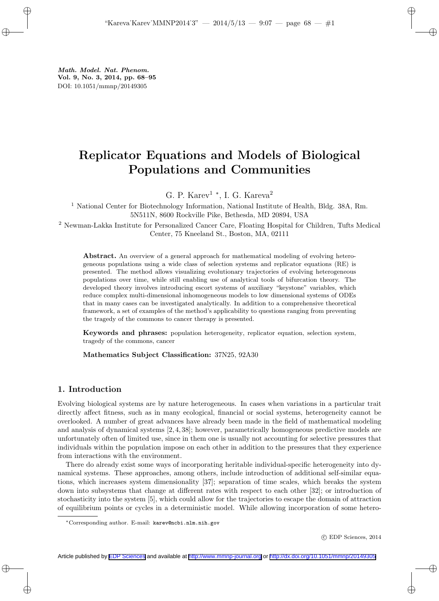Math. Model. Nat. Phenom. Vol. 9, No. 3, 2014, pp. 68–95 DOI: 10.1051/mmnp/20149305

# Replicator Equations and Models of Biological Populations and Communities

G. P. Karev<sup>1</sup>  $^*$ , I. G. Kareva<sup>2</sup>

<sup>1</sup> National Center for Biotechnology Information, National Institute of Health, Bldg. 38A, Rm. 5N511N, 8600 Rockville Pike, Bethesda, MD 20894, USA

<sup>2</sup> Newman-Lakka Institute for Personalized Cancer Care, Floating Hospital for Children, Tufts Medical Center, 75 Kneeland St., Boston, MA, 02111

Abstract. An overview of a general approach for mathematical modeling of evolving heterogeneous populations using a wide class of selection systems and replicator equations (RE) is presented. The method allows visualizing evolutionary trajectories of evolving heterogeneous populations over time, while still enabling use of analytical tools of bifurcation theory. The developed theory involves introducing escort systems of auxiliary "keystone" variables, which reduce complex multi-dimensional inhomogeneous models to low dimensional systems of ODEs that in many cases can be investigated analytically. In addition to a comprehensive theoretical framework, a set of examples of the method's applicability to questions ranging from preventing the tragedy of the commons to cancer therapy is presented.

Keywords and phrases: population heterogeneity, replicator equation, selection system, tragedy of the commons, cancer

Mathematics Subject Classification: 37N25, 92A30

# 1. Introduction

Evolving biological systems are by nature heterogeneous. In cases when variations in a particular trait directly affect fitness, such as in many ecological, financial or social systems, heterogeneity cannot be overlooked. A number of great advances have already been made in the field of mathematical modeling and analysis of dynamical systems [2, 4, 38]; however, parametrically homogeneous predictive models are unfortunately often of limited use, since in them one is usually not accounting for selective pressures that individuals within the population impose on each other in addition to the pressures that they experience from interactions with the environment.

There do already exist some ways of incorporating heritable individual-specific heterogeneity into dynamical systems. These approaches, among others, include introduction of additional self-similar equations, which increases system dimensionality [37]; separation of time scales, which breaks the system down into subsystems that change at different rates with respect to each other [32]; or introduction of stochasticity into the system [5], which could allow for the trajectories to escape the domain of attraction of equilibrium points or cycles in a deterministic model. While allowing incorporation of some hetero-

c EDP Sciences, 2014

<sup>∗</sup>Corresponding author. E-mail: karev@ncbi.nlm.nih.gov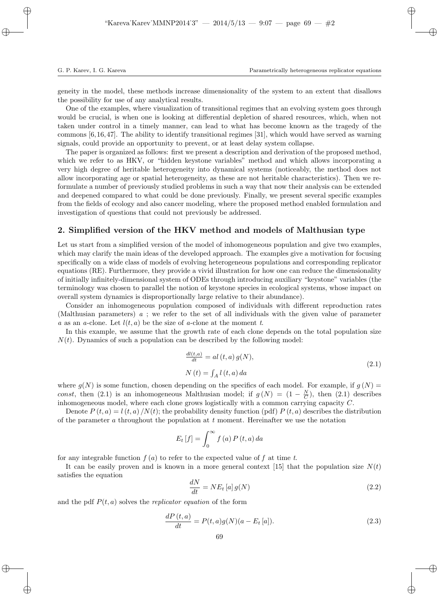geneity in the model, these methods increase dimensionality of the system to an extent that disallows the possibility for use of any analytical results.

One of the examples, where visualization of transitional regimes that an evolving system goes through would be crucial, is when one is looking at differential depletion of shared resources, which, when not taken under control in a timely manner, can lead to what has become known as the tragedy of the commons [6, 16, 47]. The ability to identify transitional regimes [31], which would have served as warning signals, could provide an opportunity to prevent, or at least delay system collapse.

The paper is organized as follows: first we present a description and derivation of the proposed method, which we refer to as HKV, or "hidden keystone variables" method and which allows incorporating a very high degree of heritable heterogeneity into dynamical systems (noticeably, the method does not allow incorporating age or spatial heterogeneity, as these are not heritable characteristics). Then we reformulate a number of previously studied problems in such a way that now their analysis can be extended and deepened compared to what could be done previously. Finally, we present several specific examples from the fields of ecology and also cancer modeling, where the proposed method enabled formulation and investigation of questions that could not previously be addressed.

# 2. Simplified version of the HKV method and models of Malthusian type

Let us start from a simplified version of the model of inhomogeneous population and give two examples, which may clarify the main ideas of the developed approach. The examples give a motivation for focusing specifically on a wide class of models of evolving heterogeneous populations and corresponding replicator equations (RE). Furthermore, they provide a vivid illustration for how one can reduce the dimensionality of initially infinitely-dimensional system of ODEs through introducing auxiliary "keystone" variables (the terminology was chosen to parallel the notion of keystone species in ecological systems, whose impact on overall system dynamics is disproportionally large relative to their abundance).

Consider an inhomogeneous population composed of individuals with different reproduction rates (Malthusian parameters) a ; we refer to the set of all individuals with the given value of parameter a as an a-clone. Let  $l(t, a)$  be the size of a-clone at the moment t.

In this example, we assume that the growth rate of each clone depends on the total population size  $N(t)$ . Dynamics of such a population can be described by the following model:

$$
\frac{dl(t,a)}{dt} = al(t,a) g(N),
$$
  
\n
$$
N(t) = \int_A l(t,a) da
$$
\n(2.1)

where  $g(N)$  is some function, chosen depending on the specifics of each model. For example, if  $g(N)$ const, then (2.1) is an inhomogeneous Malthusian model; if  $g(N) = (1 - \frac{N}{C})$ , then (2.1) describes inhomogeneous model, where each clone grows logistically with a common carrying capacity C.

Denote  $P(t, a) = l(t, a) / N(t)$ ; the probability density function (pdf)  $P(t, a)$  describes the distribution of the parameter a throughout the population at  $t$  moment. Hereinafter we use the notation

$$
E_t\left[f\right] = \int_0^\infty f\left(a\right) P\left(t, a\right) da
$$

for any integrable function  $f(a)$  to refer to the expected value of f at time t.

It can be easily proven and is known in a more general context [15] that the population size  $N(t)$ satisfies the equation

$$
\frac{dN}{dt} = NE_t\left[a\right]g(N) \tag{2.2}
$$

and the pdf  $P(t, a)$  solves the *replicator equation* of the form

$$
\frac{dP(t,a)}{dt} = P(t,a)g(N)(a - E_t[a]).
$$
\n(2.3)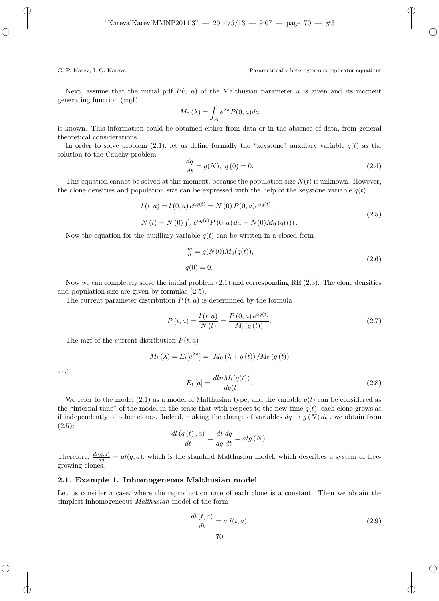Next, assume that the initial pdf  $P(0, a)$  of the Malthusian parameter a is given and its moment generating function (mgf)

$$
M_0(\lambda) = \int_A e^{\lambda a} P(0, a) da
$$

is known. This information could be obtained either from data or in the absence of data, from general theoretical considerations.

In order to solve problem (2.1), let us define formally the "keystone" auxiliary variable  $q(t)$  as the solution to the Cauchy problem

$$
\frac{dq}{dt} = g(N), \ q(0) = 0.
$$
\n(2.4)

This equation cannot be solved at this moment, because the population size  $N(t)$  is unknown. However, the clone densities and population size can be expressed with the help of the keystone variable  $q(t)$ :

$$
l(t,a) = l(0,a) e^{aq(t)} = N(0) P(0,a) e^{aq(t)},
$$
  
\n
$$
N(t) = N(0) \int_A e^{aq(t)} P(0,a) da = N(0) M_0(q(t)).
$$
\n(2.5)

Now the equation for the auxiliary variable  $q(t)$  can be written in a closed form

$$
\frac{dq}{dt} = g(N(0)M_0(q(t)),
$$
  
 
$$
q(0) = 0.
$$
 (2.6)

Now we can completely solve the initial problem (2.1) and corresponding RE (2.3). The clone densities and population size are given by formulas (2.5).

The current parameter distribution  $P(t, a)$  is determined by the formula

$$
P(t,a) = \frac{l(t,a)}{N(t)} = \frac{P(0,a) e^{aq(t)}}{M_0(q(t))}.
$$
\n(2.7)

The mgf of the current distribution  $P(t, a)$ 

$$
M_t(\lambda) = E_t[e^{\lambda a}] = M_0(\lambda + q(t))/M_0(q(t))
$$

and

$$
E_t\left[a\right] = \frac{dln M_t(q(t))}{dq(t)}.\tag{2.8}
$$

We refer to the model  $(2.1)$  as a model of Malthusian type, and the variable  $q(t)$  can be considered as the "internal time" of the model in the sense that with respect to the new time  $q(t)$ , each clone grows as if independently of other clones. Indeed, making the change of variables  $dq \rightarrow g(N) dt$ , we obtain from  $(2.5):$ 

$$
\frac{dl\left(q\left(t\right),a\right)}{dt} = \frac{dl}{dq}\frac{dq}{dt} = alg\left(N\right).
$$

Therefore,  $\frac{dl(q,a)}{dq} = al(q,a)$ , which is the standard Malthusian model, which describes a system of freegrowing clones.

## 2.1. Example 1. Inhomogeneous Malthusian model

Let us consider a case, where the reproduction rate of each clone is a constant. Then we obtain the simplest inhomogeneous Malthusian model of the form

$$
\frac{dl(t,a)}{dt} = a \; l(t,a). \tag{2.9}
$$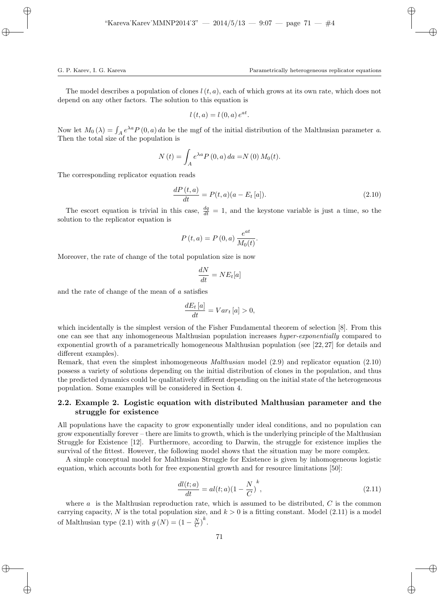The model describes a population of clones  $l(t, a)$ , each of which grows at its own rate, which does not depend on any other factors. The solution to this equation is

$$
l(t, a) = l(0, a) e^{at}.
$$

Now let  $M_0(\lambda) = \int_A e^{\lambda a} P(0, a) da$  be the mgf of the initial distribution of the Malthusian parameter a. Then the total size of the population is

$$
N(t) = \int_{A} e^{\lambda a} P(0, a) da = N(0) M_0(t).
$$

The corresponding replicator equation reads

$$
\frac{dP(t,a)}{dt} = P(t,a)(a - E_t[a]).
$$
\n(2.10)

The escort equation is trivial in this case,  $\frac{dq}{dt} = 1$ , and the keystone variable is just a time, so the solution to the replicator equation is

$$
P(t,a) = P(0,a) \frac{e^{at}}{M_0(t)}.
$$

Moreover, the rate of change of the total population size is now

$$
\frac{dN}{dt} = NE_t[a]
$$

and the rate of change of the mean of a satisfies

$$
\frac{dE_t[a]}{dt} = Var_t[a] > 0,
$$

which incidentally is the simplest version of the Fisher Fundamental theorem of selection [8]. From this one can see that any inhomogeneous Malthusian population increases *hyper-exponentially* compared to exponential growth of a parametrically homogeneous Malthusian population (see [22, 27] for details and different examples).

Remark, that even the simplest inhomogeneous Malthusian model (2.9) and replicator equation (2.10) possess a variety of solutions depending on the initial distribution of clones in the population, and thus the predicted dynamics could be qualitatively different depending on the initial state of the heterogeneous population. Some examples will be considered in Section 4.

# 2.2. Example 2. Logistic equation with distributed Malthusian parameter and the struggle for existence

All populations have the capacity to grow exponentially under ideal conditions, and no population can grow exponentially forever – there are limits to growth, which is the underlying principle of the Malthusian Struggle for Existence [12]. Furthermore, according to Darwin, the struggle for existence implies the survival of the fittest. However, the following model shows that the situation may be more complex.

A simple conceptual model for Malthusian Struggle for Existence is given by inhomogeneous logistic equation, which accounts both for free exponential growth and for resource limitations [50]:

$$
\frac{dl(t;a)}{dt} = al(t;a)(1 - \frac{N}{C})^k,
$$
\n(2.11)

where  $a$  is the Malthusian reproduction rate, which is assumed to be distributed,  $C$  is the common carrying capacity, N is the total population size, and  $k > 0$  is a fitting constant. Model (2.11) is a model of Malthusian type  $(2.1)$  with  $g(N) = (1 - \frac{N}{C})^k$ .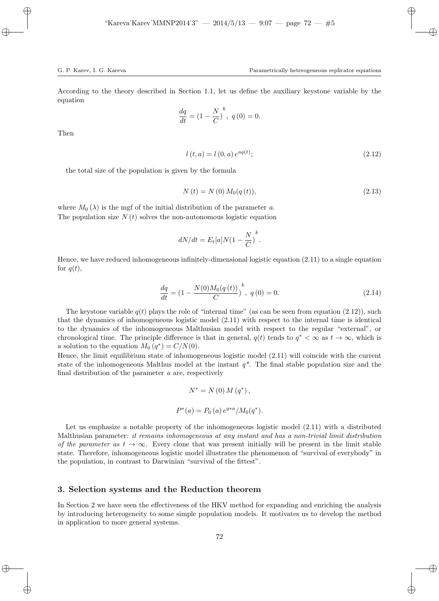According to the theory described in Section 1.1, let us define the auxiliary keystone variable by the equation

$$
\frac{dq}{dt} = (1 - \frac{N}{C})^{k}, \ q(0) = 0.
$$

Then

$$
l(t,a) = l(0,a) e^{aq(t)};
$$
\n(2.12)

the total size of the population is given by the formula

$$
N(t) = N(0) M_0(q(t)),
$$
\n(2.13)

where  $M_0(\lambda)$  is the mgf of the initial distribution of the parameter a. The population size  $N(t)$  solves the non-autonomous logistic equation

$$
dN/dt = E_t[a]N(1 - \frac{N}{C})^k.
$$

Hence, we have reduced inhomogeneous infinitely-dimensional logistic equation (2.11) to a single equation for  $q(t)$ ,

$$
\frac{dq}{dt} = \left(1 - \frac{N(0)M_0(q(t))}{C}\right)^k, \ q(0) = 0.
$$
\n(2.14)

The keystone variable  $q(t)$  plays the role of "internal time" (as can be seen from equation (2.12)), such that the dynamics of inhomogeneous logistic model (2.11) with respect to the internal time is identical to the dynamics of the inhomogeneous Malthusian model with respect to the regular "external", or chronological time. The principle difference is that in general,  $q(t)$  tends to  $q^* < \infty$  as  $t \to \infty$ , which is a solution to the equation  $M_0(q^*) = C/N(0)$ .

Hence, the limit equilibrium state of inhomogeneous logistic model (2.11) will coincide with the current state of the inhomogeneous Malthus model at the instant  $q^*$ . The final stable population size and the final distribution of the parameter a are, respectively

$$
N^* = N(0) M(q^*),
$$
  

$$
P^*(a) = P_0(a) e^{q*a} / M_0(q^*).
$$

Let us emphasize a notable property of the inhomogeneous logistic model (2.11) with a distributed Malthusian parameter: it remains inhomogeneous at any instant and has a non-trivial limit distribution of the parameter as  $t \to \infty$ . Every clone that was present initially will be present in the limit stable state. Therefore, inhomogeneous logistic model illustrates the phenomenon of "survival of everybody" in the population, in contrast to Darwinian "survival of the fittest".

## 3. Selection systems and the Reduction theorem

In Section 2 we have seen the effectiveness of the HKV method for expanding and enriching the analysis by introducing heterogeneity to some simple population models. It motivates us to develop the method in application to more general systems.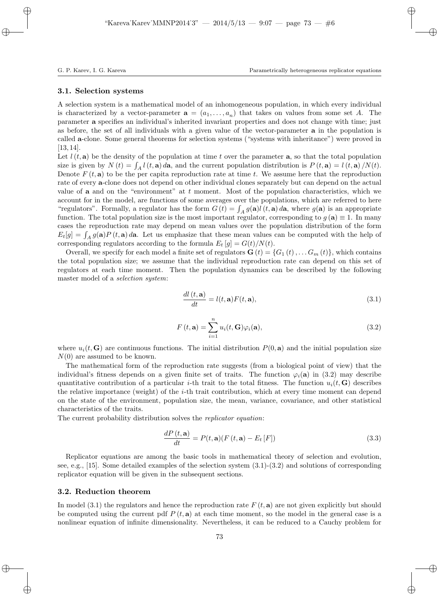#### 3.1. Selection systems

A selection system is a mathematical model of an inhomogeneous population, in which every individual is characterized by a vector-parameter  $\mathbf{a} = (a_1, \ldots, a_n)$  that takes on values from some set A. The parameter a specifies an individual's inherited invariant properties and does not change with time; just as before, the set of all individuals with a given value of the vector-parameter a in the population is called a-clone. Some general theorems for selection systems ("systems with inheritance") were proved in  $[13, 14]$ .

Let  $l(t, a)$  be the density of the population at time t over the parameter a, so that the total population size is given by  $N(t) = \int_A l(t, \mathbf{a}) d\mathbf{a}$ , and the current population distribution is  $P(t, \mathbf{a}) = l(t, \mathbf{a})/N(t)$ . Denote  $F(t, a)$  to be the per capita reproduction rate at time t. We assume here that the reproduction rate of every a-clone does not depend on other individual clones separately but can depend on the actual value of **a** and on the "environment" at  $t$  moment. Most of the population characteristics, which we account for in the model, are functions of some averages over the populations, which are referred to here "regulators". Formally, a regulator has the form  $G(t) = \int_A g(\mathbf{a}) l(t, \mathbf{a}) d\mathbf{a}$ , where  $g(\mathbf{a})$  is an appropriate function. The total population size is the most important regulator, corresponding to  $g(\mathbf{a}) \equiv 1$ . In many cases the reproduction rate may depend on mean values over the population distribution of the form  $E_t[g] = \int_A g(\mathbf{a}) P(t, \mathbf{a}) d\mathbf{a}$ . Let us emphasize that these mean values can be computed with the help of corresponding regulators according to the formula  $E_t[g] = G(t)/N(t)$ .

Overall, we specify for each model a finite set of regulators  $\mathbf{G}(t) = \{G_1(t), \ldots, G_m(t)\}\,$ , which contains the total population size; we assume that the individual reproduction rate can depend on this set of regulators at each time moment. Then the population dynamics can be described by the following master model of a selection system:

$$
\frac{dl(t, \mathbf{a})}{dt} = l(t, \mathbf{a})F(t, \mathbf{a}),
$$
\n(3.1)

$$
F(t, \mathbf{a}) = \sum_{i=1}^{n} u_i(t, \mathbf{G}) \varphi_i(\mathbf{a}),
$$
\n(3.2)

where  $u_i(t, \mathbf{G})$  are continuous functions. The initial distribution  $P(0, \mathbf{a})$  and the initial population size  $N(0)$  are assumed to be known.

The mathematical form of the reproduction rate suggests (from a biological point of view) that the individual's fitness depends on a given finite set of traits. The function  $\varphi_i(\mathbf{a})$  in (3.2) may describe quantitative contribution of a particular *i*-th trait to the total fitness. The function  $u_i(t, G)$  describes the relative importance (weight) of the i-th trait contribution, which at every time moment can depend on the state of the environment, population size, the mean, variance, covariance, and other statistical characteristics of the traits.

The current probability distribution solves the *replicator equation*:

$$
\frac{dP(t, \mathbf{a})}{dt} = P(t, \mathbf{a})(F(t, \mathbf{a}) - E_t[F])
$$
\n(3.3)

Replicator equations are among the basic tools in mathematical theory of selection and evolution, see, e.g., [15]. Some detailed examples of the selection system (3.1)-(3.2) and solutions of corresponding replicator equation will be given in the subsequent sections.

## 3.2. Reduction theorem

In model (3.1) the regulators and hence the reproduction rate  $F(t, \mathbf{a})$  are not given explicitly but should be computed using the current pdf  $P(t, \mathbf{a})$  at each time moment, so the model in the general case is a nonlinear equation of infinite dimensionality. Nevertheless, it can be reduced to a Cauchy problem for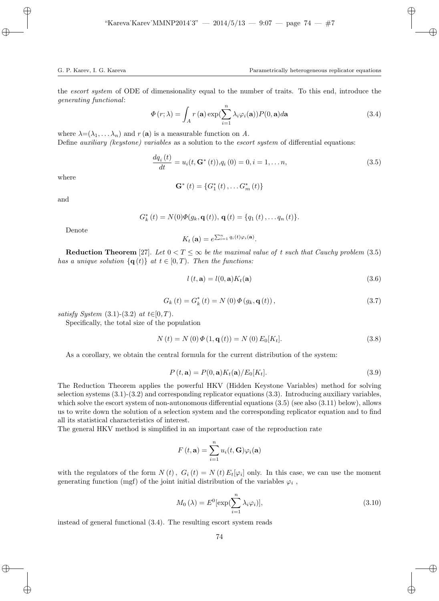the *escort system* of ODE of dimensionality equal to the number of traits. To this end, introduce the generating functional:

$$
\Phi(r;\lambda) = \int_{A} r(\mathbf{a}) \exp(\sum_{i=1}^{n} \lambda_i \varphi_i(\mathbf{a})) P(0, \mathbf{a}) d\mathbf{a}
$$
\n(3.4)

where  $\lambda = (\lambda_1, \dots, \lambda_n)$  and  $r(\mathbf{a})$  is a measurable function on A. Define *auxiliary (keystone) variables* as a solution to the *escort system* of differential equations:

$$
\frac{dq_i(t)}{dt} = u_i(t, \mathbf{G}^*(t)), q_i(0) = 0, i = 1, \dots n,
$$
\n(3.5)

where

$$
\mathbf{G}^{*}\left(t\right) = \left\{G_{1}^{*}\left(t\right),\ldots G_{m}^{*}\left(t\right)\right\}
$$

and

$$
G_k^*(t) = N(0)\Phi(g_k, \mathbf{q}(t)), \mathbf{q}(t) = \{q_1(t), \ldots q_n(t)\}.
$$

Denote

$$
K_t(\mathbf{a}) = e^{\sum_{i=1}^n q_i(t)\varphi_i(\mathbf{a})}.
$$

**Reduction Theorem** [27]. Let  $0 < T \leq \infty$  be the maximal value of t such that Cauchy problem (3.5) has a unique solution  $\{q(t)\}\$ at  $t \in [0, T)$ . Then the functions:

$$
l(t, \mathbf{a}) = l(0, \mathbf{a})K_t(\mathbf{a})
$$
\n(3.6)

$$
G_{k}(t) = G_{k}^{*}(t) = N(0) \Phi(g_{k}, \mathbf{q}(t)),
$$
\n(3.7)

satisfy System  $(3.1)-(3.2)$  at  $t \in [0, T)$ .

Specifically, the total size of the population

$$
N(t) = N(0) \Phi(1, \mathbf{q}(t)) = N(0) E_0[K_t].
$$
\n(3.8)

As a corollary, we obtain the central formula for the current distribution of the system:

$$
P(t, \mathbf{a}) = P(0, \mathbf{a})K_t(\mathbf{a})/E_0[K_t].
$$
\n(3.9)

The Reduction Theorem applies the powerful HKV (Hidden Keystone Variables) method for solving selection systems (3.1)-(3.2) and corresponding replicator equations (3.3). Introducing auxiliary variables, which solve the escort system of non-autonomous differential equations  $(3.5)$  (see also  $(3.11)$  below), allows us to write down the solution of a selection system and the corresponding replicator equation and to find all its statistical characteristics of interest.

The general HKV method is simplified in an important case of the reproduction rate

$$
F(t, \mathbf{a}) = \sum_{i=1}^{n} u_i(t, \mathbf{G}) \varphi_i(\mathbf{a})
$$

with the regulators of the form  $N(t)$ ,  $G_i(t) = N(t) E_t[\varphi_i]$  only. In this case, we can use the moment generating function (mgf) of the joint initial distribution of the variables  $\varphi_i$ ,

$$
M_0(\lambda) = E^0[\exp(\sum_{i=1}^n \lambda_i \varphi_i)], \qquad (3.10)
$$

instead of general functional (3.4). The resulting escort system reads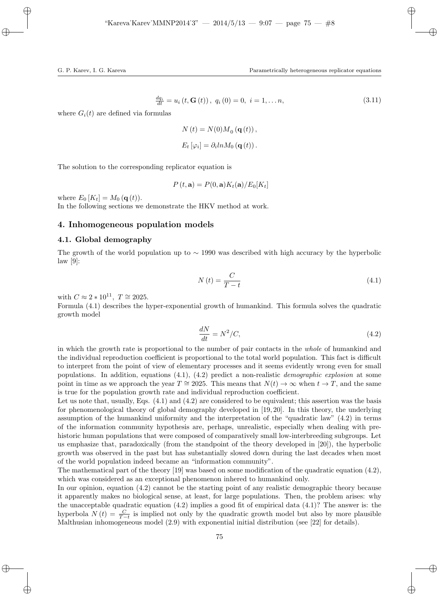$$
\frac{dq_i}{dt} = u_i(t, \mathbf{G}(t)), \ q_i(0) = 0, \ i = 1, \dots n,
$$
\n(3.11)

where  $G_i(t)$  are defined via formulas

$$
N(t) = N(0)M_0(\mathbf{q}(t)),
$$
  

$$
E_t[\varphi_i] = \partial_i ln M_0(\mathbf{q}(t)).
$$

The solution to the corresponding replicator equation is

$$
P(t, \mathbf{a}) = P(0, \mathbf{a})K_t(\mathbf{a})/E_0[K_t]
$$

where  $E_0$  [K<sub>t</sub>] =  $M_0$  (**q**(t)).

In the following sections we demonstrate the HKV method at work.

# 4. Inhomogeneous population models

## 4.1. Global demography

The growth of the world population up to  $\sim$  1990 was described with high accuracy by the hyperbolic law [9]:

$$
N\left(t\right) = \frac{C}{T - t} \tag{4.1}
$$

with  $C \approx 2 * 10^{11}$ ,  $T \approx 2025$ .

Formula (4.1) describes the hyper-exponential growth of humankind. This formula solves the quadratic growth model

$$
\frac{dN}{dt} = N^2/C,\tag{4.2}
$$

in which the growth rate is proportional to the number of pair contacts in the whole of humankind and the individual reproduction coefficient is proportional to the total world population. This fact is difficult to interpret from the point of view of elementary processes and it seems evidently wrong even for small populations. In addition, equations  $(4.1)$ ,  $(4.2)$  predict a non-realistic *demographic explosion* at some point in time as we approach the year  $T \approx 2025$ . This means that  $N(t) \to \infty$  when  $t \to T$ , and the same is true for the population growth rate and individual reproduction coefficient.

Let us note that, usually, Eqs. (4.1) and (4.2) are considered to be equivalent; this assertion was the basis for phenomenological theory of global demography developed in [19, 20]. In this theory, the underlying assumption of the humankind uniformity and the interpretation of the "quadratic law" (4.2) in terms of the information community hypothesis are, perhaps, unrealistic, especially when dealing with prehistoric human populations that were composed of comparatively small low-interbreeding subgroups. Let us emphasize that, paradoxically (from the standpoint of the theory developed in [20]), the hyperbolic growth was observed in the past but has substantially slowed down during the last decades when most of the world population indeed became an "information community".

The mathematical part of the theory [19] was based on some modification of the quadratic equation (4.2), which was considered as an exceptional phenomenon inhered to humankind only.

In our opinion, equation (4.2) cannot be the starting point of any realistic demographic theory because it apparently makes no biological sense, at least, for large populations. Then, the problem arises: why the unacceptable quadratic equation (4.2) implies a good fit of empirical data (4.1)? The answer is: the hyperbola  $N(t) = \frac{C}{T-t}$  is implied not only by the quadratic growth model but also by more plausible Malthusian inhomogeneous model (2.9) with exponential initial distribution (see [22] for details).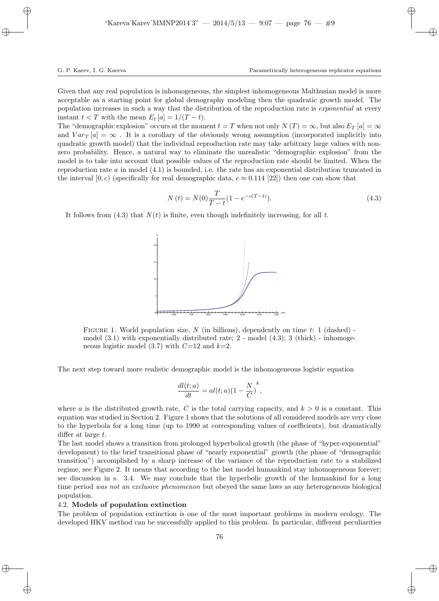Given that any real population is inhomogeneous, the simplest inhomogeneous Malthusian model is more acceptable as a starting point for global demography modeling then the quadratic growth model. The population increases in such a way that the distribution of the reproduction rate is *exponential* at every instant  $t < T$  with the mean  $E_t[a] = 1/(T-t)$ .

The "demographic explosion" occurs at the moment  $t = T$  when not only  $N(T) = \infty$ , but also  $E_T[a] = \infty$ and  $Var_T[a] = \infty$ . It is a corollary of the obviously wrong assumption (incorporated implicitly into quadratic growth model) that the individual reproduction rate may take arbitrary large values with nonzero probability. Hence, a natural way to eliminate the unrealistic "demographic explosion" from the model is to take into account that possible values of the reproduction rate should be limited. When the reproduction rate  $a$  in model  $(4.1)$  is bounded, i.e. the rate has an exponential distribution truncated in the interval  $[0, c)$  (specifically for real demographic data,  $c \approx 0.114$  [22]) then one can show that

$$
N(t) = N(0)\frac{T}{T - t}(1 - e^{-c(T - t)}).
$$
\n(4.3)

It follows from  $(4.3)$  that  $N(t)$  is finite, even though indefinitely increasing, for all t.



FIGURE 1. World population size, N (in billions), dependently on time t: 1 (dashed) model  $(3.1)$  with exponentially distributed rate;  $2$  - model  $(4.3)$ ;  $3$  (thick) - inhomogeneous logistic model (3.7) with  $C=12$  and  $k=2$ .

The next step toward more realistic demographic model is the inhomogeneous logistic equation

$$
\frac{dl(t;a)}{dt} = al(t;a)(1 - \frac{N}{C})^k,
$$

where a is the distributed growth rate, C is the total carrying capacity, and  $k > 0$  is a constant. This equation was studied in Section 2. Figure 1 shows that the solutions of all considered models are very close to the hyperbola for a long time (up to 1990 at corresponding values of coefficients), but dramatically differ at large t.

The last model shows a transition from prolonged hyperbolical growth (the phase of "hyper-exponential" development) to the brief transitional phase of "nearly exponential" growth (the phase of "demographic transition") accomplished by a sharp increase of the variance of the reproduction rate to a stabilized regime, see Figure 2. It means that according to the last model humankind stay inhomogeneous forever; see discussion in s. 3.4. We may conclude that the hyperbolic growth of the humankind for a long time period was not an exclusive phenomenon but obeyed the same laws as any heterogeneous biological population.

## 4.2. Models of population extinction

The problem of population extinction is one of the most important problems in modern ecology. The developed HKV method can be successfully applied to this problem. In particular, different peculiarities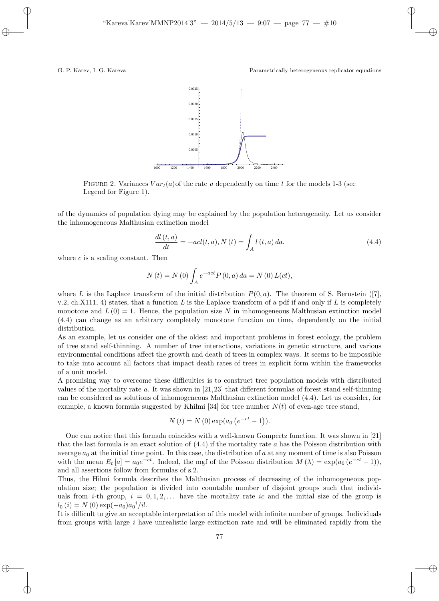

FIGURE 2. Variances  $Var<sub>t</sub>(a)$  of the rate a dependently on time t for the models 1-3 (see Legend for Figure 1).

of the dynamics of population dying may be explained by the population heterogeneity. Let us consider the inhomogeneous Malthusian extinction model

$$
\frac{dl(t,a)}{dt} = -acl(t,a), N(t) = \int_A l(t,a) \, da. \tag{4.4}
$$

where  $c$  is a scaling constant. Then

$$
N(t) = N(0) \int_{A} e^{-act} P(0, a) da = N(0) L(ct),
$$

where L is the Laplace transform of the initial distribution  $P(0, a)$ . The theorem of S. Bernstein ([7], v.2, ch.X111, 4) states, that a function L is the Laplace transform of a pdf if and only if L is completely monotone and  $L(0) = 1$ . Hence, the population size N in inhomogeneous Malthusian extinction model (4.4) can change as an arbitrary completely monotone function on time, dependently on the initial distribution.

As an example, let us consider one of the oldest and important problems in forest ecology, the problem of tree stand self-thinning. A number of tree interactions, variations in genetic structure, and various environmental conditions affect the growth and death of trees in complex ways. It seems to be impossible to take into account all factors that impact death rates of trees in explicit form within the frameworks of a unit model.

A promising way to overcome these difficulties is to construct tree population models with distributed values of the mortality rate a. It was shown in [21,23] that different formulas of forest stand self-thinning can be considered as solutions of inhomogeneous Malthusian extinction model (4.4). Let us consider, for example, a known formula suggested by Khilmi [34] for tree number  $N(t)$  of even-age tree stand,

$$
N(t) = N(0) \exp(a_0 (e^{-ct} - 1)).
$$

One can notice that this formula coincides with a well-known Gompertz function. It was shown in [21] that the last formula is an exact solution of  $(4.4)$  if the mortality rate a has the Poisson distribution with average  $a_0$  at the initial time point. In this case, the distribution of a at any moment of time is also Poisson with the mean  $E_t[a] = a_0 e^{-ct}$ . Indeed, the mgf of the Poisson distribution  $M(\lambda) = \exp(a_0 (e^{-ct} - 1))$ , and all assertions follow from formulas of s.2.

Thus, the Hilmi formula describes the Malthusian process of decreasing of the inhomogeneous population size; the population is divided into countable number of disjoint groups such that individuals from *i*-th group,  $i = 0, 1, 2, \ldots$  have the mortality rate ic and the initial size of the group is  $l_0(i) = N(0) \exp(-a_0) a_0^i/i!.$ 

It is difficult to give an acceptable interpretation of this model with infinite number of groups. Individuals from groups with large  $i$  have unrealistic large extinction rate and will be eliminated rapidly from the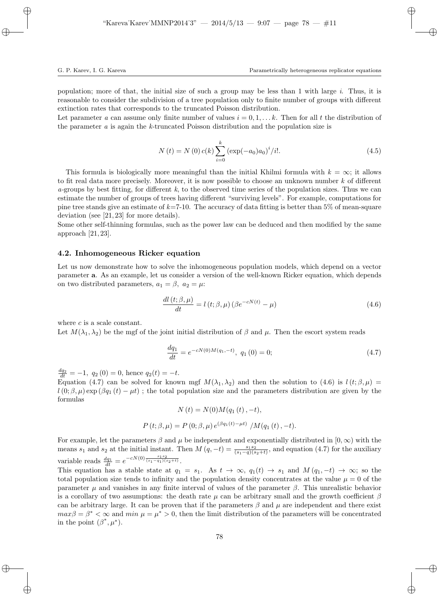population; more of that, the initial size of such a group may be less than 1 with large i. Thus, it is reasonable to consider the subdivision of a tree population only to finite number of groups with different extinction rates that corresponds to the truncated Poisson distribution.

Let parameter a can assume only finite number of values  $i = 0, 1, \ldots, k$ . Then for all t the distribution of the parameter a is again the k-truncated Poisson distribution and the population size is

$$
N(t) = N(0) c(k) \sum_{i=0}^{k} (\exp(-a_0) a_0)^i / i!.
$$
 (4.5)

This formula is biologically more meaningful than the initial Khilmi formula with  $k = \infty$ ; it allows to fit real data more precisely. Moreover, it is now possible to choose an unknown number  $k$  of different a-groups by best fitting, for different  $k$ , to the observed time series of the population sizes. Thus we can estimate the number of groups of trees having different "surviving levels". For example, computations for pine tree stands give an estimate of  $k=7-10$ . The accuracy of data fitting is better than 5% of mean-square deviation (see [21, 23] for more details).

Some other self-thinning formulas, such as the power law can be deduced and then modified by the same approach  $[21, 23]$ .

## 4.2. Inhomogeneous Ricker equation

Let us now demonstrate how to solve the inhomogeneous population models, which depend on a vector parameter a. As an example, let us consider a version of the well-known Ricker equation, which depends on two distributed parameters,  $a_1 = \beta$ ,  $a_2 = \mu$ :

$$
\frac{dl(t;\beta,\mu)}{dt} = l(t;\beta,\mu) \left(\beta e^{-cN(t)} - \mu\right)
$$
\n(4.6)

where  $c$  is a scale constant.

Let  $M(\lambda_1, \lambda_2)$  be the mgf of the joint initial distribution of  $\beta$  and  $\mu$ . Then the escort system reads

$$
\frac{dq_1}{dt} = e^{-cN(0)M(q_1, -t)}, \ q_1(0) = 0; \tag{4.7}
$$

 $\frac{dq_2}{dt} = -1$ ,  $q_2(0) = 0$ , hence  $q_2(t) = -t$ .

Equation (4.7) can be solved for known mgf  $M(\lambda_1, \lambda_2)$  and then the solution to (4.6) is  $l(t; \beta, \mu)$  $l(0;\beta,\mu)$  exp  $(\beta q_1(t) - \mu t)$ ; the total population size and the parameters distribution are given by the formulas

$$
N(t) = N(0)M(q_1(t), -t),
$$
  
 
$$
P(t; \beta, \mu) = P(0; \beta, \mu) e^{(\beta q_1(t) - \mu t)} / M(q_1(t), -t).
$$

For example, let the parameters  $\beta$  and  $\mu$  be independent and exponentially distributed in  $[0, \infty)$  with the means  $s_1$  and  $s_2$  at the initial instant. Then  $M(q, -t) = \frac{s_1 s_2}{(s_1 - q)(s_2 + t)}$ , and equation (4.7) for the auxiliary variable reads  $\frac{dq_1}{dt} = e^{-cN(0)\frac{s_1 s_2}{(s_1 - q_1)(s_2 + t)}}$ .

This equation has a stable state at  $q_1 = s_1$ . As  $t \to \infty$ ,  $q_1(t) \to s_1$  and  $M(q_1, -t) \to \infty$ ; so the total population size tends to infinity and the population density concentrates at the value  $\mu = 0$  of the parameter  $\mu$  and vanishes in any finite interval of values of the parameter  $\beta$ . This unrealistic behavior is a corollary of two assumptions: the death rate  $\mu$  can be arbitrary small and the growth coefficient  $\beta$ can be arbitrary large. It can be proven that if the parameters  $\beta$  and  $\mu$  are independent and there exist  $max\beta = \beta^* < \infty$  and  $min \mu = \mu^* > 0$ , then the limit distribution of the parameters will be concentrated in the point  $(\beta^*, \mu^*).$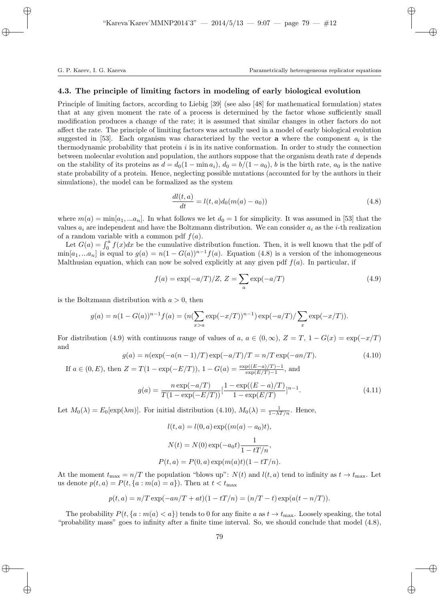## 4.3. The principle of limiting factors in modeling of early biological evolution

Principle of limiting factors, according to Liebig [39] (see also [48] for mathematical formulation) states that at any given moment the rate of a process is determined by the factor whose sufficiently small modification produces a change of the rate; it is assumed that similar changes in other factors do not affect the rate. The principle of limiting factors was actually used in a model of early biological evolution suggested in [53]. Each organism was characterized by the vector **a** where the component  $a_i$  is the thermodynamic probability that protein  $i$  is in its native conformation. In order to study the connection between molecular evolution and population, the authors suppose that the organism death rate d depends on the stability of its proteins as  $d = d_0(1 - \min a_i)$ ,  $d_0 = b/(1 - a_0)$ , b is the birth rate,  $a_0$  is the native state probability of a protein. Hence, neglecting possible mutations (accounted for by the authors in their simulations), the model can be formalized as the system

$$
\frac{dl(t,a)}{dt} = l(t,a)d_0(m(a) - a_0))
$$
\n(4.8)

where  $m(a) = \min[a_1, \ldots, a_n]$ . In what follows we let  $d_0 = 1$  for simplicity. It was assumed in [53] that the values  $a_i$  are independent and have the Boltzmann distribution. We can consider  $a_i$  as the *i*-th realization of a random variable with a common pdf  $f(a)$ .

Let  $G(a) = \int_0^a f(x)dx$  be the cumulative distribution function. Then, it is well known that the pdf of  $\min[a_1,...a_n]$  is equal to  $g(a) = n(1 - G(a))^{n-1}f(a)$ . Equation (4.8) is a version of the inhomogeneous Malthusian equation, which can now be solved explicitly at any given pdf  $f(a)$ . In particular, if

$$
f(a) = \exp(-a/T)/Z, Z = \sum_{a} \exp(-a/T)
$$
 (4.9)

is the Boltzmann distribution with  $a > 0$ , then

$$
g(a) = n(1 - G(a))^{n-1} f(a) = (n(\sum_{x>a} \exp(-x/T))^{n-1}) \exp(-a/T) / \sum_{x} \exp(-x/T)).
$$

For distribution (4.9) with continuous range of values of a,  $a \in (0,\infty)$ ,  $Z = T$ ,  $1 - G(x) = \exp(-x/T)$ and

$$
g(a) = n(\exp(-a(n-1)/T)\exp(-a/T)/T = n/T\exp(-an/T). \tag{4.10}
$$

If  $a \in (0, E)$ , then  $Z = T(1 - \exp(-E/T))$ ,  $1 - G(a) = \frac{\exp((E-a)/T) - 1}{\exp(E/T) - 1}$ , and

$$
g(a) = \frac{n \exp(-a/T)}{T(1 - \exp(-E/T))} \left[\frac{1 - \exp((E - a)/T)}{1 - \exp(E/T)}\right]^{n-1}.
$$
\n(4.11)

Let  $M_0(\lambda) = E_0[\exp(\lambda m)]$ . For initial distribution (4.10),  $M_0(\lambda) = \frac{1}{1 - \lambda T/n}$ . Hence,

$$
l(t, a) = l(0, a) \exp((m(a) - a_0)t),
$$

$$
N(t) = N(0) \exp(-a_0t) \frac{1}{1 - tT/n},
$$

$$
P(t, a) = P(0, a) \exp(m(a)t)(1 - tT/n).
$$

At the moment  $t_{\text{max}} = n/T$  the population "blows up":  $N(t)$  and  $l(t, a)$  tend to infinity as  $t \to t_{\text{max}}$ . Let us denote  $p(t, a) = P(t, \{a : m(a) = a\})$ . Then at  $t < t_{\text{max}}$ 

$$
p(t,a) = n/T \exp(-an/T + at)(1 - tT/n) = (n/T - t) \exp(a(t - n/T)).
$$

The probability  $P(t, \{a : m(a) < a\})$  tends to 0 for any finite a as  $t \to t_{\text{max}}$ . Loosely speaking, the total "probability mass" goes to infinity after a finite time interval. So, we should conclude that model (4.8),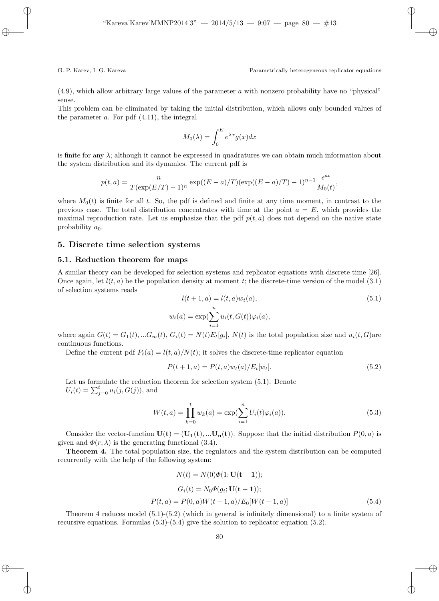(4.9), which allow arbitrary large values of the parameter a with nonzero probability have no "physical" sense.

This problem can be eliminated by taking the initial distribution, which allows only bounded values of the parameter  $a$ . For pdf  $(4.11)$ , the integral

$$
M_0(\lambda) = \int_0^E e^{\lambda x} g(x) dx
$$

is finite for any λ; although it cannot be expressed in quadratures we can obtain much information about the system distribution and its dynamics. The current pdf is

$$
p(t,a) = \frac{n}{T(\exp(E/T) - 1)^n} \exp((E - a)/T)(\exp((E - a)/T) - 1)^{n-1} \frac{e^{at}}{M_0(t)},
$$

where  $M_0(t)$  is finite for all t. So, the pdf is defined and finite at any time moment, in contrast to the previous case. The total distribution concentrates with time at the point  $a = E$ , which provides the maximal reproduction rate. Let us emphasize that the pdf  $p(t, a)$  does not depend on the native state probability  $a_0$ .

# 5. Discrete time selection systems

#### 5.1. Reduction theorem for maps

A similar theory can be developed for selection systems and replicator equations with discrete time [26]. Once again, let  $l(t, a)$  be the population density at moment t; the discrete-time version of the model (3.1) of selection systems reads

$$
l(t+1, a) = l(t, a)w_t(a),
$$
  
\n
$$
w_t(a) = \exp\left(\sum_{i=1}^n u_i(t, G(t))\varphi_i(a)\right),
$$
\n
$$
(5.1)
$$

where again  $G(t) = G_1(t),...G_m(t), G_i(t) = N(t)E_t[g_i], N(t)$  is the total population size and  $u_i(t, G)$ are continuous functions.

Define the current pdf  $P_t(a) = l(t, a)/N(t)$ ; it solves the discrete-time replicator equation

$$
P(t+1, a) = P(t, a)w_t(a)/E_t[w_t].
$$
\n(5.2)

Let us formulate the reduction theorem for selection system (5.1). Denote  $U_i(t) = \sum_{j=0}^{t} u_i(j, G(j))$ , and

$$
W(t,a) = \prod_{k=0}^{t} w_k(a) = \exp(\sum_{i=1}^{n} U_i(t)\varphi_i(a)).
$$
\n(5.3)

Consider the vector-function  $\mathbf{U}(t) = (\mathbf{U}_1(t), \dots, \mathbf{U}_n(t))$ . Suppose that the initial distribution  $P(0, a)$  is given and  $\Phi(r; \lambda)$  is the generating functional (3.4).

Theorem 4. The total population size, the regulators and the system distribution can be computed recurrently with the help of the following system:

$$
N(t) = N(0)\Phi(1; \mathbf{U}(\mathbf{t} - \mathbf{1}));
$$
  
\n
$$
G_i(t) = N_0 \Phi(g_i; \mathbf{U}(\mathbf{t} - \mathbf{1}));
$$
  
\n
$$
P(t, a) = P(0, a)W(t - 1, a)/E_0[W(t - 1, a)]
$$
\n(5.4)

Theorem 4 reduces model (5.1)-(5.2) (which in general is infinitely dimensional) to a finite system of recursive equations. Formulas (5.3)-(5.4) give the solution to replicator equation (5.2).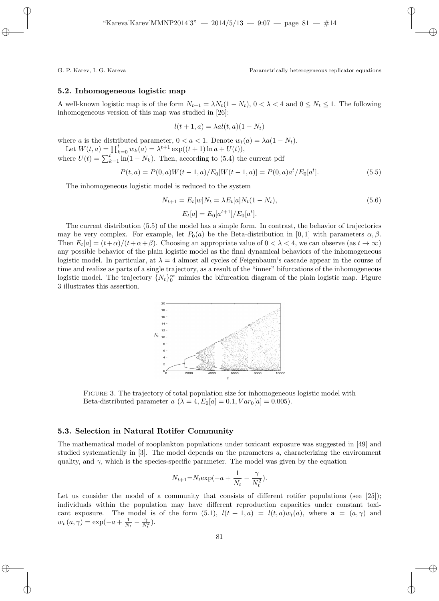## 5.2. Inhomogeneous logistic map

A well-known logistic map is of the form  $N_{t+1} = \lambda N_t(1 - N_t)$ ,  $0 < \lambda < 4$  and  $0 \le N_t \le 1$ . The following inhomogeneous version of this map was studied in [26]:

$$
l(t+1, a) = \lambda a l(t, a) (1 - N_t)
$$

where a is the distributed parameter,  $0 < a < 1$ . Denote  $w_t(a) = \lambda a(1 - N_t)$ .

Let  $W(t, a) = \prod_{k=0}^{t} w_k(a) = \lambda^{t+1} \exp((t+1) \ln a + U(t)),$ where  $U(t) = \sum_{k=1}^{t} \ln(1 - N_k)$ . Then, according to (5.4) the current pdf

$$
P(t,a) = P(0,a)W(t-1,a)/E_0[W(t-1,a)] = P(0,a)a^{t}/E_0[a^{t}].
$$
\n(5.5)

The inhomogeneous logistic model is reduced to the system

$$
N_{t+1} = E_t[w]N_t = \lambda E_t[a]N_t(1 - N_t),
$$
\n
$$
E_t[a] = E_0[a^{t+1}]/E_0[a^t].
$$
\n(5.6)

The current distribution (5.5) of the model has a simple form. In contrast, the behavior of trajectories may be very complex. For example, let  $P_0(a)$  be the Beta-distribution in [0,1] with parameters  $\alpha, \beta$ . Then  $E_t[a] = (t+\alpha)/(t+\alpha+\beta)$ . Choosing an appropriate value of  $0 < \lambda < 4$ , we can observe (as  $t \to \infty$ ) any possible behavior of the plain logistic model as the final dynamical behaviors of the inhomogeneous logistic model. In particular, at  $\lambda = 4$  almost all cycles of Feigenbaum's cascade appear in the course of time and realize as parts of a single trajectory, as a result of the "inner" bifurcations of the inhomogeneous logistic model. The trajectory  $\{N_t\}_{0}^{\infty}$  mimics the bifurcation diagram of the plain logistic map. Figure 3 illustrates this assertion.



FIGURE 3. The trajectory of total population size for inhomogeneous logistic model with Beta-distributed parameter a  $(\lambda = 4, E_0[a] = 0.1, Var_0[a] = 0.005)$ .

## 5.3. Selection in Natural Rotifer Community

The mathematical model of zooplankton populations under toxicant exposure was suggested in [49] and studied systematically in [3]. The model depends on the parameters a, characterizing the environment quality, and  $\gamma$ , which is the species-specific parameter. The model was given by the equation

$$
N_{t+1} = N_t \exp(-a + \frac{1}{N_t} - \frac{\gamma}{N_t^2}).
$$

Let us consider the model of a community that consists of different rotifer populations (see  $[25]$ ); individuals within the population may have different reproduction capacities under constant toxicant exposure. The model is of the form (5.1),  $l(t + 1, a) = l(t, a)w_t(a)$ , where  $a = (a, \gamma)$  and  $w_t(a, \gamma) = \exp(-a + \frac{1}{N_t} - \frac{\gamma}{N_t^2}).$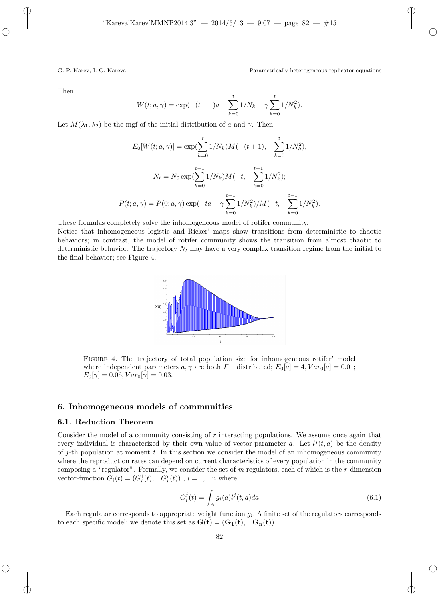Then

$$
W(t; a, \gamma) = \exp(-(t+1)a + \sum_{k=0}^{t} 1/N_k - \gamma \sum_{k=0}^{t} 1/N_k^2).
$$

Let  $M(\lambda_1, \lambda_2)$  be the mgf of the initial distribution of a and  $\gamma$ . Then

$$
E_0[W(t; a, \gamma)] = \exp(\sum_{k=0}^t 1/N_k)M(-(t+1), -\sum_{k=0}^t 1/N_k^2),
$$
  

$$
N_t = N_0 \exp(\sum_{k=0}^{t-1} 1/N_k)M(-t, -\sum_{k=0}^{t-1} 1/N_k^2);
$$
  

$$
P(t; a, \gamma) = P(0; a, \gamma) \exp(-ta - \gamma \sum_{k=0}^{t-1} 1/N_k^2)/M(-t, -\sum_{k=0}^{t-1} 1/N_k^2).
$$

These formulas completely solve the inhomogeneous model of rotifer community.

Notice that inhomogeneous logistic and Ricker' maps show transitions from deterministic to chaotic behaviors; in contrast, the model of rotifer community shows the transition from almost chaotic to deterministic behavior. The trajectory  $N_t$  may have a very complex transition regime from the initial to the final behavior; see Figure 4.



Figure 4. The trajectory of total population size for inhomogeneous rotifer' model where independent parameters  $a, \gamma$  are both  $\Gamma$  – distributed;  $E_0[a] = 4, Var_0[a] = 0.01;$  $E_0[\gamma] = 0.06, Var_0[\gamma] = 0.03.$ 

# 6. Inhomogeneous models of communities

# 6.1. Reduction Theorem

Consider the model of a community consisting of  $r$  interacting populations. We assume once again that every individual is characterized by their own value of vector-parameter a. Let  $l^{j}(t, a)$  be the density of j-th population at moment  $t$ . In this section we consider the model of an inhomogeneous community where the reproduction rates can depend on current characteristics of every population in the community composing a "regulator". Formally, we consider the set of  $m$  regulators, each of which is the  $r$ -dimension vector-function  $G_i(t) = (G_i^1(t), ... G_i^r(t))$ ,  $i = 1, ...n$  where:

$$
G_i^j(t) = \int_A g_i(a)l^j(t,a)da
$$
\n(6.1)

Each regulator corresponds to appropriate weight function  $g_i$ . A finite set of the regulators corresponds to each specific model; we denote this set as  $\mathbf{G}(t) = (\mathbf{G_1}(t), \dots \mathbf{G_n}(t)).$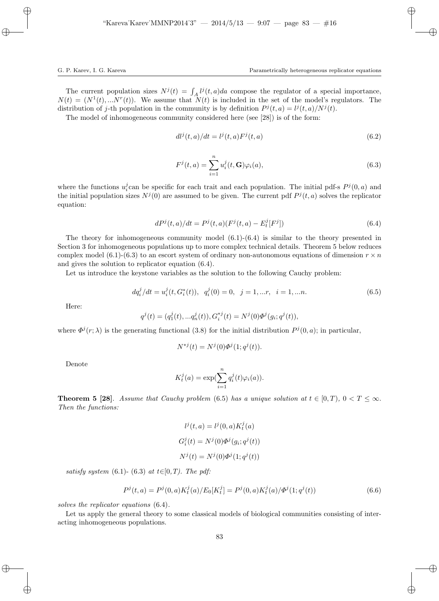The current population sizes  $N^{j}(t) = \int_{A} l^{j}(t, a)da$  compose the regulator of a special importance,  $N(t) = (N<sup>1</sup>(t), ...N<sup>r</sup>(t)).$  We assume that  $N(t)$  is included in the set of the model's regulators. The distribution of j-th population in the community is by definition  $P^{j}(t, a) = l^{j}(t, a)/N^{j}(t)$ .

The model of inhomogeneous community considered here (see [28]) is of the form:

$$
dl^j(t,a)/dt = l^j(t,a)F^j(t,a)
$$
\n
$$
(6.2)
$$

$$
F^{j}(t,a) = \sum_{i=1}^{n} u_{i}^{j}(t, \mathbf{G}) \varphi_{i}(a), \qquad (6.3)
$$

where the functions  $u_i^j$  can be specific for each trait and each population. The initial pdf-s  $P^j(0, a)$  and the initial population sizes  $N^j(0)$  are assumed to be given. The current pdf  $P^j(t, a)$  solves the replicator equation:

$$
dP^{j}(t,a)/dt = P^{j}(t,a)(F^{j}(t,a) - E^{j}_{t}[F^{j}])
$$
\n(6.4)

The theory for inhomogeneous community model  $(6.1)-(6.4)$  is similar to the theory presented in Section 3 for inhomogeneous populations up to more complex technical details. Theorem 5 below reduces complex model (6.1)-(6.3) to an escort system of ordinary non-autonomous equations of dimension  $r \times n$ and gives the solution to replicator equation (6.4).

Let us introduce the keystone variables as the solution to the following Cauchy problem:

$$
dq_i^j/dt = u_i^j(t, G_i^*(t)), \quad q_i^j(0) = 0, \quad j = 1, \dots r, \quad i = 1, \dots n. \tag{6.5}
$$

Here:

$$
q^{j}(t) = (q_{1}^{j}(t),...q_{n}^{j}(t)), G_{i}^{*j}(t) = N^{j}(0)\Phi^{j}(g_{i};q^{j}(t)),
$$

where  $\Phi^j(r; \lambda)$  is the generating functional (3.8) for the initial distribution  $P^j(0, a)$ ; in particular,

$$
N^{*j}(t) = N^j(0)\Phi^j(1;q^j(t)).
$$

Denote

$$
K_t^j(a) = \exp(\sum_{i=1}^n q_i^j(t)\varphi_i(a)).
$$

**Theorem 5 [28].** Assume that Cauchy problem (6.5) has a unique solution at  $t \in [0, T)$ ,  $0 < T \leq \infty$ . Then the functions:

$$
l^j(t, a) = l^j(0, a) K_t^j(a)
$$
  

$$
G_i^j(t) = N^j(0) \Phi^j(g_i; q^j(t))
$$
  

$$
N^j(t) = N^j(0) \Phi^j(1; q^j(t))
$$

satisfy system (6.1)- (6.3) at  $t \in [0, T)$ . The pdf:

$$
P^{j}(t,a) = P^{j}(0,a)K_t^{j}(a)/E_0[K_t^{j}] = P^{j}(0,a)K_t^{j}(a)/\Phi^{j}(1;q^{j}(t))
$$
\n(6.6)

solves the replicator equations (6.4).

Let us apply the general theory to some classical models of biological communities consisting of interacting inhomogeneous populations.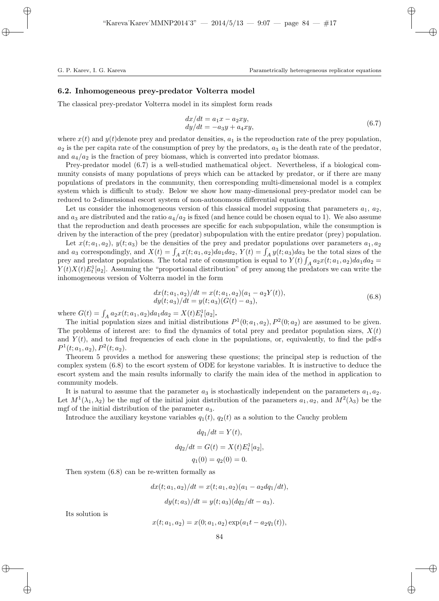## 6.2. Inhomogeneous prey-predator Volterra model

The classical prey-predator Volterra model in its simplest form reads

$$
dx/dt = a_1x - a_2xy,\ndy/dt = -a_3y + a_4xy,
$$
\n(6.7)

where  $x(t)$  and  $y(t)$  denote prey and predator densities,  $a_1$  is the reproduction rate of the prey population,  $a_2$  is the per capita rate of the consumption of prey by the predators,  $a_3$  is the death rate of the predator, and  $a_4/a_2$  is the fraction of prey biomass, which is converted into predator biomass.

Prey-predator model (6.7) is a well-studied mathematical object. Nevertheless, if a biological community consists of many populations of preys which can be attacked by predator, or if there are many populations of predators in the community, then corresponding multi-dimensional model is a complex system which is difficult to study. Below we show how many-dimensional prey-predator model can be reduced to 2-dimensional escort system of non-autonomous differential equations.

Let us consider the inhomogeneous version of this classical model supposing that parameters  $a_1, a_2,$ and  $a_3$  are distributed and the ratio  $a_4/a_2$  is fixed (and hence could be chosen equal to 1). We also assume that the reproduction and death processes are specific for each subpopulation, while the consumption is driven by the interaction of the prey (predator) subpopulation with the entire predator (prey) population.

Let  $x(t; a_1, a_2)$ ,  $y(t; a_3)$  be the densities of the prey and predator populations over parameters  $a_1, a_2$ and  $a_3$  correspondingly, and  $X(t) = \int_A x(t; a_1, a_2) da_1 da_2$ ,  $Y(t) = \int_A y(t; a_3) da_3$  be the total sizes of the prey and predator populations. The total rate of consumption is equal to  $Y(t) \int_A a_2x(t; a_1, a_2)da_1da_2 =$  $Y(t)X(t)E_t^1[a_2]$ . Assuming the "proportional distribution" of prey among the predators we can write the inhomogeneous version of Volterra model in the form

$$
dx(t; a_1, a_2)/dt = x(t; a_1, a_2)(a_1 - a_2Y(t)),
$$
  
\n
$$
dy(t; a_3)/dt = y(t; a_3)(G(t) - a_3),
$$
\n(6.8)

where  $G(t) = \int_A a_2 x(t; a_1, a_2) da_1 da_2 = X(t) E_t^1[a_2]$ .

The initial population sizes and initial distributions  $P^1(0; a_1, a_2)$ ,  $P^2(0; a_2)$  are assumed to be given. The problems of interest are: to find the dynamics of total prey and predator population sizes,  $X(t)$ and  $Y(t)$ , and to find frequencies of each clone in the populations, or, equivalently, to find the pdf-s  $P^1(t; a_1, a_2), P^2(t; a_2).$ 

Theorem 5 provides a method for answering these questions; the principal step is reduction of the complex system (6.8) to the escort system of ODE for keystone variables. It is instructive to deduce the escort system and the main results informally to clarify the main idea of the method in application to community models.

It is natural to assume that the parameter  $a_3$  is stochastically independent on the parameters  $a_1, a_2$ . Let  $M^1(\lambda_1, \lambda_2)$  be the mgf of the initial joint distribution of the parameters  $a_1, a_2$ , and  $M^2(\lambda_3)$  be the mgf of the initial distribution of the parameter  $a_3$ .

Introduce the auxiliary keystone variables  $q_1(t)$ ,  $q_2(t)$  as a solution to the Cauchy problem

$$
dq_1/dt = Y(t),
$$
  
\n
$$
dq_2/dt = G(t) = X(t)E_t^1[a_2],
$$
  
\n
$$
q_1(0) = q_2(0) = 0.
$$

Then system (6.8) can be re-written formally as

$$
dx(t; a_1, a_2)/dt = x(t; a_1, a_2)(a_1 - a_2dq_1/dt),
$$
  

$$
dy(t; a_3)/dt = y(t; a_3)(dq_2/dt - a_3).
$$

Its solution is

$$
x(t; a_1, a_2) = x(0; a_1, a_2) \exp(a_1 t - a_2 q_1(t)),
$$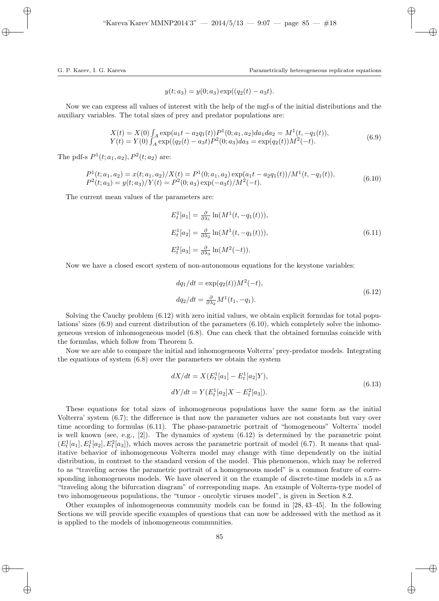$$
y(t; a_3) = y(0; a_3) \exp((q_2(t) - a_3t).
$$

Now we can express all values of interest with the help of the mgf-s of the initial distributions and the auxiliary variables. The total sizes of prey and predator populations are:

$$
X(t) = X(0) \int_A \exp(a_1 t - a_2 q_1(t)) P^1(0; a_1, a_2) da_1 da_2 = M^1(t, -q_1(t)),
$$
  
\n
$$
Y(t) = Y(0) \int_A \exp((q_2(t) - a_3 t) P^2(0; a_3) da_3 = \exp(q_2(t)) M^2(-t).
$$
\n(6.9)

The pdf-s  $P^1(t; a_1, a_2)$ ,  $P^2(t; a_2)$  are:

$$
P^{1}(t; a_{1}, a_{2}) = x(t; a_{1}, a_{2})/X(t) = P^{1}(0; a_{1}, a_{2}) \exp(a_{1}t - a_{2}q_{1}(t))/M^{1}(t, -q_{1}(t)),
$$
  
\n
$$
P^{2}(t; a_{3}) = y(t; a_{3})/Y(t) = P^{2}(0; a_{3}) \exp(-a_{3}t)/M^{2}(-t).
$$
\n(6.10)

The current mean values of the parameters are:

$$
E_t^1[a_1] = \frac{\partial}{\partial \lambda_1} \ln(M^1(t, -q_1(t))),
$$
  
\n
$$
E_t^1[a_2] = \frac{\partial}{\partial \lambda_2} \ln(M^1(t, -q_1(t))),
$$
  
\n
$$
E_t^2[a_3] = \frac{\partial}{\partial \lambda_3} \ln(M^2(-t)).
$$
\n(6.11)

Now we have a closed escort system of non-autonomous equations for the keystone variables:

$$
dq_1/dt = \exp(q_2(t))M^2(-t),
$$
  
\n
$$
dq_2/dt = \frac{\partial}{\partial \lambda_2}M^1(t_1, -q_1).
$$
\n(6.12)

Solving the Cauchy problem (6.12) with zero initial values, we obtain explicit formulas for total populations' sizes (6.9) and current distribution of the parameters (6.10), which completely solve the inhomogeneous version of inhomogeneous model (6.8). One can check that the obtained formulas coincide with the formulas, which follow from Theorem 5.

Now we are able to compare the initial and inhomogeneous Volterra' prey-predator models. Integrating the equations of system (6.8) over the parameters we obtain the system

$$
dX/dt = X(E_t^1[a_1] - E_t^1[a_2]Y),
$$
  
\n
$$
dY/dt = Y(E_t^1[a_2]X - E_t^2[a_3]).
$$
\n(6.13)

These equations for total sizes of inhomogeneous populations have the same form as the initial Volterra' system (6.7); the difference is that now the parameter values are not constants but vary over time according to formulas (6.11). The phase-parametric portrait of "homogeneous" Volterra' model is well known (see, e.g.,  $[2]$ ). The dynamics of system  $(6.12)$  is determined by the parametric point  $(E_t^1[a_1], E_t^1[a_2], E_t^2[a_3])$ , which moves across the parametric portrait of model (6.7). It means that qualitative behavior of inhomogeneous Volterra model may change with time dependently on the initial distribution, in contrast to the standard version of the model. This phenomenon, which may be referred to as "traveling across the parametric portrait of a homogeneous model" is a common feature of corresponding inhomogeneous models. We have observed it on the example of discrete-time models in s.5 as "traveling along the bifurcation diagram" of corresponding maps. An example of Volterra-type model of two inhomogeneous populations, the "tumor - oncolytic viruses model", is given in Section 8.2.

Other examples of inhomogeneous community models can be found in [28, 43–45]. In the following Sections we will provide specific examples of questions that can now be addressed with the method as it is applied to the models of inhomogeneous communities.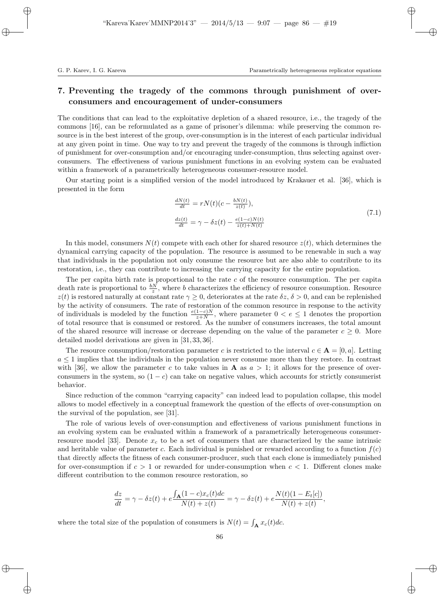# 7. Preventing the tragedy of the commons through punishment of overconsumers and encouragement of under-consumers

The conditions that can lead to the exploitative depletion of a shared resource, i.e., the tragedy of the commons [16], can be reformulated as a game of prisoner's dilemma: while preserving the common resource is in the best interest of the group, over-consumption is in the interest of each particular individual at any given point in time. One way to try and prevent the tragedy of the commons is through infliction of punishment for over-consumption and/or encouraging under-consumption, thus selecting against overconsumers. The effectiveness of various punishment functions in an evolving system can be evaluated within a framework of a parametrically heterogeneous consumer-resource model.

Our starting point is a simplified version of the model introduced by Krakauer et al. [36], which is presented in the form

$$
\frac{dN(t)}{dt} = rN(t)(c - \frac{bN(t)}{z(t)}),
$$
\n
$$
\frac{dz(t)}{dt} = \gamma - \delta z(t) - \frac{e(1-c)N(t)}{z(t) + N(t)}
$$
\n(7.1)

In this model, consumers  $N(t)$  compete with each other for shared resource  $z(t)$ , which determines the dynamical carrying capacity of the population. The resource is assumed to be renewable in such a way that individuals in the population not only consume the resource but are also able to contribute to its restoration, i.e., they can contribute to increasing the carrying capacity for the entire population.

The per capita birth rate is proportional to the rate  $c$  of the resource consumption. The per capita death rate is proportional to  $\frac{bN}{z}$ , where b characterizes the efficiency of resource consumption. Resource  $z(t)$  is restored naturally at constant rate  $\gamma \geq 0$ , deteriorates at the rate  $\delta z$ ,  $\delta > 0$ , and can be replenished by the activity of consumers. The rate of restoration of the common resource in response to the activity of individuals is modeled by the function  $\frac{e(1-c)N}{z+N}$ , where parameter  $0 < e \leq 1$  denotes the proportion of total resource that is consumed or restored. As the number of consumers increases, the total amount of the shared resource will increase or decrease depending on the value of the parameter  $c \geq 0$ . More detailed model derivations are given in [31, 33, 36].

The resource consumption/restoration parameter c is restricted to the interval  $c \in \mathbf{A} = [0, a]$ . Letting  $a \leq 1$  implies that the individuals in the population never consume more than they restore. In contrast with [36], we allow the parameter c to take values in **A** as  $a > 1$ ; it allows for the presence of overconsumers in the system, so  $(1 - c)$  can take on negative values, which accounts for strictly consumerist behavior.

Since reduction of the common "carrying capacity" can indeed lead to population collapse, this model allows to model effectively in a conceptual framework the question of the effects of over-consumption on the survival of the population, see [31].

The role of various levels of over-consumption and effectiveness of various punishment functions in an evolving system can be evaluated within a framework of a parametrically heterogeneous consumerresource model [33]. Denote  $x_c$  to be a set of consumers that are characterized by the same intrinsic and heritable value of parameter c. Each individual is punished or rewarded according to a function  $f(c)$ that directly affects the fitness of each consumer-producer, such that each clone is immediately punished for over-consumption if  $c > 1$  or rewarded for under-consumption when  $c < 1$ . Different clones make different contribution to the common resource restoration, so

$$
\frac{dz}{dt} = \gamma - \delta z(t) + e \frac{\int_{\mathbf{A}} (1 - c) x_c(t) dc}{N(t) + z(t)} = \gamma - \delta z(t) + e \frac{N(t)(1 - E_t[c])}{N(t) + z(t)},
$$

where the total size of the population of consumers is  $N(t) = \int_{\mathbf{A}} x_c(t)dc$ .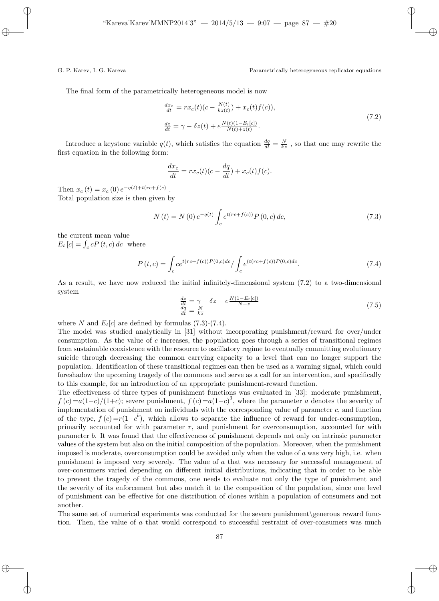The final form of the parametrically heterogeneous model is now

$$
\frac{dx_c}{dt} = rx_c(t)(c - \frac{N(t)}{kz(t)}) + x_c(t)f(c)),
$$
\n
$$
\frac{dz}{dt} = \gamma - \delta z(t) + e \frac{N(t)(1 - E_t[c])}{N(t) + z(t)}.
$$
\n(7.2)

Introduce a keystone variable  $q(t)$ , which satisfies the equation  $\frac{dq}{dt} = \frac{N}{kz}$ , so that one may rewrite the first equation in the following form:

$$
\frac{dx_c}{dt} = rx_c(t)(c - \frac{dq}{dt}) + x_c(t)f(c).
$$

Then  $x_c(t) = x_c(0) e^{-q(t) + t(rc + f(c))}$ . Total population size is then given by

$$
N(t) = N(0) e^{-q(t)} \int_{c} e^{t(rc+f(c))} P(0, c) dc,
$$
\n(7.3)

the current mean value  $E_t[c] = \int_c cP(t, c) dc$  where

$$
P(t,c) = \int_{c} c e^{t(rc+f(c))P(0,c)dc} / \int_{c} e^{(t(rc+f(c))P(0,c)dc}.
$$
 (7.4)

As a result, we have now reduced the initial infinitely-dimensional system (7.2) to a two-dimensional system

$$
\frac{dz}{dt} = \gamma - \delta z + e \frac{N(1 - E_t[c])}{N + z} \n\frac{dq}{dt} = \frac{N}{kz}
$$
\n(7.5)

where N and  $E_t[c]$  are defined by formulas (7.3)-(7.4).

The model was studied analytically in [31] without incorporating punishment/reward for over/under consumption. As the value of c increases, the population goes through a series of transitional regimes from sustainable coexistence with the resource to oscillatory regime to eventually committing evolutionary suicide through decreasing the common carrying capacity to a level that can no longer support the population. Identification of these transitional regimes can then be used as a warning signal, which could foreshadow the upcoming tragedy of the commons and serve as a call for an intervention, and specifically to this example, for an introduction of an appropriate punishment-reward function.

The effectiveness of three types of punishment functions was evaluated in [33]: moderate punishment,  $f(c) = a(1-c)/(1+c)$ ; severe punishment,  $f(c) = a(1-c)^3$ , where the parameter a denotes the severity of implementation of punishment on individuals with the corresponding value of parameter  $c$ , and function of the type,  $f(c) = r(1-c^b)$ , which allows to separate the influence of reward for under-consumption, primarily accounted for with parameter r, and punishment for overconsumption, accounted for with parameter b. It was found that the effectiveness of punishment depends not only on intrinsic parameter values of the system but also on the initial composition of the population. Moreover, when the punishment imposed is moderate, overconsumption could be avoided only when the value of  $a$  was very high, i.e. when punishment is imposed very severely. The value of a that was necessary for successful management of over-consumers varied depending on different initial distributions, indicating that in order to be able to prevent the tragedy of the commons, one needs to evaluate not only the type of punishment and the severity of its enforcement but also match it to the composition of the population, since one level of punishment can be effective for one distribution of clones within a population of consumers and not another.

The same set of numerical experiments was conducted for the severe punishment\generous reward function. Then, the value of a that would correspond to successful restraint of over-consumers was much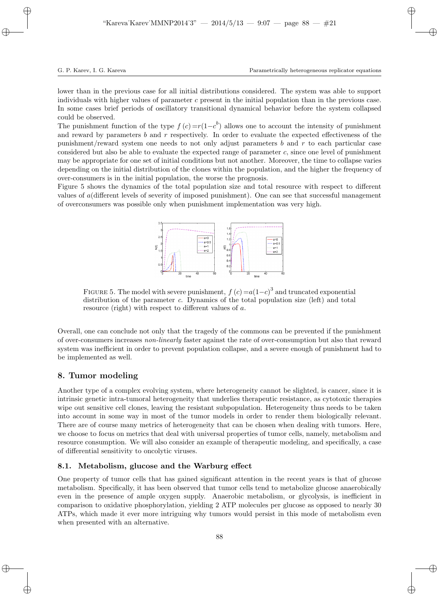lower than in the previous case for all initial distributions considered. The system was able to support individuals with higher values of parameter c present in the initial population than in the previous case. In some cases brief periods of oscillatory transitional dynamical behavior before the system collapsed could be observed.

The punishment function of the type  $f(c) = r(1-c^b)$  allows one to account the intensity of punishment and reward by parameters b and r respectively. In order to evaluate the expected effectiveness of the punishment/reward system one needs to not only adjust parameters b and r to each particular case considered but also be able to evaluate the expected range of parameter c, since one level of punishment may be appropriate for one set of initial conditions but not another. Moreover, the time to collapse varies depending on the initial distribution of the clones within the population, and the higher the frequency of over-consumers is in the initial population, the worse the prognosis.

Figure 5 shows the dynamics of the total population size and total resource with respect to different values of a(different levels of severity of imposed punishment). One can see that successful management of overconsumers was possible only when punishment implementation was very high.



FIGURE 5. The model with severe punishment,  $f(c) = a(1-c)^3$  and truncated exponential distribution of the parameter c. Dynamics of the total population size (left) and total resource (right) with respect to different values of a.

Overall, one can conclude not only that the tragedy of the commons can be prevented if the punishment of over-consumers increases non-linearly faster against the rate of over-consumption but also that reward system was inefficient in order to prevent population collapse, and a severe enough of punishment had to be implemented as well.

# 8. Tumor modeling

Another type of a complex evolving system, where heterogeneity cannot be slighted, is cancer, since it is intrinsic genetic intra-tumoral heterogeneity that underlies therapeutic resistance, as cytotoxic therapies wipe out sensitive cell clones, leaving the resistant subpopulation. Heterogeneity thus needs to be taken into account in some way in most of the tumor models in order to render them biologically relevant. There are of course many metrics of heterogeneity that can be chosen when dealing with tumors. Here, we choose to focus on metrics that deal with universal properties of tumor cells, namely, metabolism and resource consumption. We will also consider an example of therapeutic modeling, and specifically, a case of differential sensitivity to oncolytic viruses.

# 8.1. Metabolism, glucose and the Warburg effect

One property of tumor cells that has gained significant attention in the recent years is that of glucose metabolism. Specifically, it has been observed that tumor cells tend to metabolize glucose anaerobically even in the presence of ample oxygen supply. Anaerobic metabolism, or glycolysis, is inefficient in comparison to oxidative phosphorylation, yielding 2 ATP molecules per glucose as opposed to nearly 30 ATPs, which made it ever more intriguing why tumors would persist in this mode of metabolism even when presented with an alternative.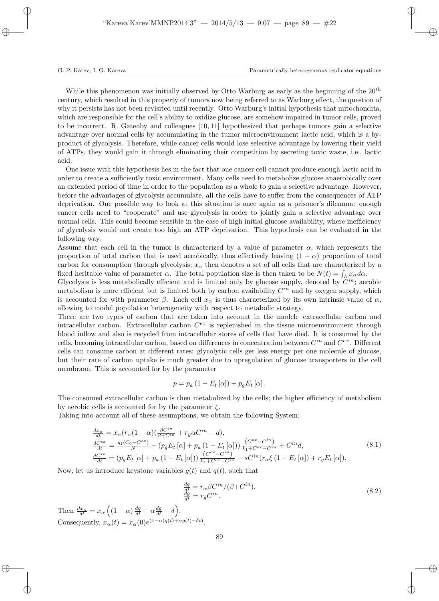While this phenomenon was initially observed by Otto Warburg as early as the beginning of the  $20<sup>th</sup>$ century, which resulted in this property of tumors now being referred to as Warburg effect, the question of why it persists has not been revisited until recently. Otto Warburg's initial hypothesis that mitochondria, which are responsible for the cell's ability to oxidize glucose, are somehow impaired in tumor cells, proved to be incorrect. R. Gatenby and colleagues [10, 11] hypothesized that perhaps tumors gain a selective advantage over normal cells by accumulating in the tumor microenvironment lactic acid, which is a byproduct of glycolysis. Therefore, while cancer cells would lose selective advantage by lowering their yield of ATPs, they would gain it through eliminating their competition by secreting toxic waste, i.e., lactic acid.

One issue with this hypothesis lies in the fact that one cancer cell cannot produce enough lactic acid in order to create a sufficiently toxic environment. Many cells need to metabolize glucose anaerobically over an extended period of time in order to the population as a whole to gain a selective advantage. However, before the advantages of glycolysis accumulate, all the cells have to suffer from the consequences of ATP deprivation. One possible way to look at this situation is once again as a prisoner's dilemma: enough cancer cells need to "cooperate" and use glycolysis in order to jointly gain a selective advantage over normal cells. This could become sensible in the case of high initial glucose availability, where inefficiency of glycolysis would not create too high an ATP deprivation. This hypothesis can be evaluated in the following way.

Assume that each cell in the tumor is characterized by a value of parameter  $\alpha$ , which represents the proportion of total carbon that is used aerobically, thus effectively leaving  $(1 - \alpha)$  proportion of total carbon for consumption through glycolysis;  $x_{\alpha}$  then denotes a set of all cells that are characterized by a fixed heritable value of parameter  $\alpha$ . The total population size is then taken to be  $N(t) = \int_{\mathbb{A}} x_{\alpha} d\alpha$ .

Glycolysis is less metabolically efficient and is limited only by glucose supply, denoted by  $C^{in}$ ; aerobic metabolism is more efficient but is limited both by carbon availability  $C^{in}$  and by oxygen supply, which is accounted for with parameter  $\beta$ . Each cell  $x_{\alpha}$  is thus characterized by its own intrinsic value of  $\alpha$ , allowing to model population heterogeneity with respect to metabolic strategy.

There are two types of carbon that are taken into account in the model: extracellular carbon and intracellular carbon. Extracellular carbon  $C^{ex}$  is replenished in the tissue microenvironment through blood inflow and also is recycled from intracellular stores of cells that have died. It is consumed by the cells, becoming intracellular carbon, based on differences in concentration between  $C^{in}$  and  $C^{ex}$ . Different cells can consume carbon at different rates: glycolytic cells get less energy per one molecule of glucose, but their rate of carbon uptake is much greater due to upregulation of glucose transporters in the cell membrane. This is accounted for by the parameter

$$
p = p_a \left(1 - E_t\left[\alpha\right]\right) + p_g E_t\left[\alpha\right].
$$

The consumed extracellular carbon is then metabolized by the cells; the higher efficiency of metabolism by aerobic cells is accounted for by the parameter  $\xi$ .

Taking into account all of these assumptions, we obtain the following System:

$$
\frac{dx_{\alpha}}{dt} = x_{\alpha} (r_{\alpha} (1 - \alpha) (\frac{\beta C^{in}}{\beta + C^{in}} + r_g \alpha C^{in} - d), \n\frac{dC^{ex}}{dt} = \frac{g_1 (C_0 - C^{ex})}{N} - (p_g E_t [\alpha] + p_a (1 - E_t [\alpha])) \frac{(C^{ex} - C^{in})}{k_1 + C^{ex} - C^{in}} + C^{in} d, \n\frac{dC^{in}}{dt} = (p_g E_t [\alpha] + p_a (1 - E_t [\alpha])) \frac{(C^{ex} - C^{in})}{k_1 + C^{ex} - C^{in}} - sC^{in} (r_{\alpha} \xi (1 - E_t [\alpha]) + r_g E_t [\alpha]).
$$
\n(8.1)

Now, let us introduce keystone variables  $g(t)$  and  $q(t)$ , such that

$$
\frac{dq}{dt} = r_{\alpha} \beta C^{in} / (\beta + C^{in}),
$$
  
\n
$$
\frac{dq}{dt} = r_g C^{in}.
$$
\n(8.2)

Then  $\frac{dx_{\alpha}}{dt} = x_{\alpha} \left( (1 - \alpha) \frac{dq}{dt} + \alpha \frac{dg}{dt} - \delta \right)$ . Consequently,  $x_{\alpha}(t) = x_{\alpha}(0)e^{(1-\alpha)q(t)+\alpha g(t)-\delta t}$ .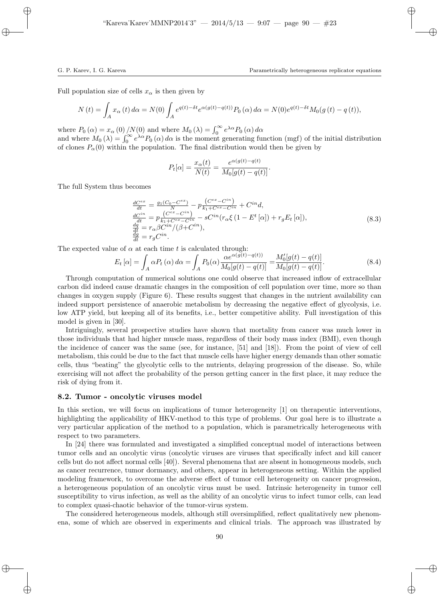Full population size of cells  $x_{\alpha}$  is then given by

$$
N(t) = \int_A x_\alpha(t) d\alpha = N(0) \int_A e^{q(t) - \delta t} e^{\alpha(g(t) - q(t))} P_0(\alpha) d\alpha = N(0) e^{q(t) - \delta t} M_0(g(t) - q(t)),
$$

where  $P_0(\alpha) = x_\alpha(0)/N(0)$  and where  $M_0(\lambda) = \int_0^\infty e^{\lambda \alpha} P_0(\alpha) d\alpha$ 

and where  $M_0(\lambda) = \int_0^\infty e^{\lambda \alpha} P_0(\alpha) d\alpha$  is the moment generating function (mgf) of the initial distribution of clones  $P_\alpha(0)$  within the population. The final distribution would then be given by

$$
P_t[\alpha] = \frac{x_{\alpha}(t)}{N(t)} = \frac{e^{\alpha(g(t) - q(t))}}{M_0[g(t) - q(t)]}.
$$

The full System thus becomes

$$
\begin{array}{l} \frac{dC^{ex}}{dt} = \frac{g_1(C_0 - C^{ex})}{N} - p \frac{(C^{ex} - C^{in})}{k_1 + C^{ex} - C^{in}} + C^{in} d, \\ \frac{dC^{in}}{dt} = p \frac{(C^{ex} - C^{in})}{k_1 + C^{ex} - C^{in}} - sC^{in} (r_{\alpha} \xi (1 - E^t [\alpha]) + r_g E_t [\alpha]), \\ \frac{dg}{dt} = r_{\alpha} \beta C^{in} / (\beta + C^{in}), \\ \frac{dg}{dt} = r_g C^{in}. \end{array} \tag{8.3}
$$

The expected value of  $\alpha$  at each time t is calculated through:

$$
E_t[\alpha] = \int_A \alpha P_t(\alpha) \, d\alpha = \int_A P_0(\alpha) \frac{\alpha e^{\alpha(g(t) - q(t))}}{M_0[g(t) - q(t)]} = \frac{M'_0[g(t) - q(t)]}{M_0[g(t) - q(t)]}.\tag{8.4}
$$

Through computation of numerical solutions one could observe that increased inflow of extracellular carbon did indeed cause dramatic changes in the composition of cell population over time, more so than changes in oxygen supply (Figure 6). These results suggest that changes in the nutrient availability can indeed support persistence of anaerobic metabolism by decreasing the negative effect of glycolysis, i.e. low ATP yield, but keeping all of its benefits, i.e., better competitive ability. Full investigation of this model is given in [30].

Intriguingly, several prospective studies have shown that mortality from cancer was much lower in those individuals that had higher muscle mass, regardless of their body mass index (BMI), even though the incidence of cancer was the same (see, for instance, [51] and [18]). From the point of view of cell metabolism, this could be due to the fact that muscle cells have higher energy demands than other somatic cells, thus "beating" the glycolytic cells to the nutrients, delaying progression of the disease. So, while exercising will not affect the probability of the person getting cancer in the first place, it may reduce the risk of dying from it.

#### 8.2. Tumor - oncolytic viruses model

In this section, we will focus on implications of tumor heterogeneity [1] on therapeutic interventions, highlighting the applicability of HKV-method to this type of problems. Our goal here is to illustrate a very particular application of the method to a population, which is parametrically heterogeneous with respect to two parameters.

In [24] there was formulated and investigated a simplified conceptual model of interactions between tumor cells and an oncolytic virus (oncolytic viruses are viruses that specifically infect and kill cancer cells but do not affect normal cells [40]). Several phenomena that are absent in homogeneous models, such as cancer recurrence, tumor dormancy, and others, appear in heterogeneous setting. Within the applied modeling framework, to overcome the adverse effect of tumor cell heterogeneity on cancer progression, a heterogeneous population of an oncolytic virus must be used. Intrinsic heterogeneity in tumor cell susceptibility to virus infection, as well as the ability of an oncolytic virus to infect tumor cells, can lead to complex quasi-chaotic behavior of the tumor-virus system.

The considered heterogeneous models, although still oversimplified, reflect qualitatively new phenomena, some of which are observed in experiments and clinical trials. The approach was illustrated by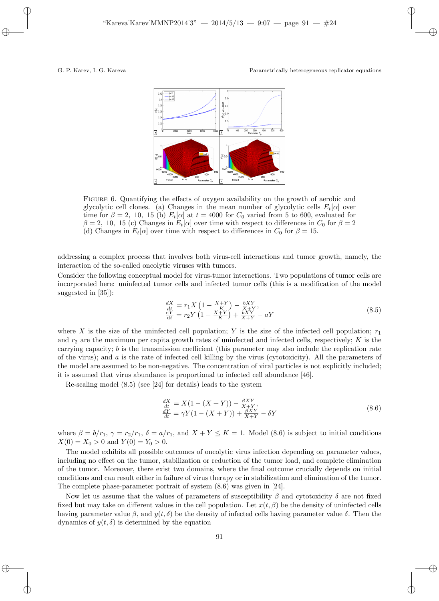

Figure 6. Quantifying the effects of oxygen availability on the growth of aerobic and glycolytic cell clones. (a) Changes in the mean number of glycolytic cells  $E_t[\alpha]$  over time for  $\beta = 2$ , 10, 15 (b)  $E_t[\alpha]$  at  $t = 4000$  for  $C_0$  varied from 5 to 600, evaluated for  $\beta = 2$ , 10, 15 (c) Changes in  $E_t[\alpha]$  over time with respect to differences in  $C_0$  for  $\beta = 2$ (d) Changes in  $E_t[\alpha]$  over time with respect to differences in  $C_0$  for  $\beta = 15$ .

addressing a complex process that involves both virus-cell interactions and tumor growth, namely, the interaction of the so-called oncolytic viruses with tumors.

Consider the following conceptual model for virus-tumor interactions. Two populations of tumor cells are incorporated here: uninfected tumor cells and infected tumor cells (this is a modification of the model suggested in [35]):

$$
\frac{dX}{dt} = r_1 X \left( 1 - \frac{X+Y}{K} \right) - \frac{bXY}{X+Y},
$$
\n
$$
\frac{dY}{dt} = r_2 Y \left( 1 - \frac{X+Y}{K} \right) + \frac{bXY}{X+Y} - aY
$$
\n(8.5)

where X is the size of the uninfected cell population; Y is the size of the infected cell population;  $r_1$ and  $r_2$  are the maximum per capita growth rates of uninfected and infected cells, respectively; K is the carrying capacity;  $b$  is the transmission coefficient (this parameter may also include the replication rate of the virus); and  $a$  is the rate of infected cell killing by the virus (cytotoxicity). All the parameters of the model are assumed to be non-negative. The concentration of viral particles is not explicitly included; it is assumed that virus abundance is proportional to infected cell abundance [46].

Re-scaling model (8.5) (see [24] for details) leads to the system

$$
\frac{dX}{dt} = X(1 - (X + Y)) - \frac{\beta XY}{X + Y},
$$
  
\n
$$
\frac{dY}{dt} = \gamma Y(1 - (X + Y)) + \frac{\beta XY}{X + Y} - \delta Y
$$
\n(8.6)

where  $\beta = b/r_1$ ,  $\gamma = r_2/r_1$ ,  $\delta = a/r_1$ , and  $X + Y \le K = 1$ . Model (8.6) is subject to initial conditions  $X(0) = X_0 > 0$  and  $Y(0) = Y_0 > 0$ .

The model exhibits all possible outcomes of oncolytic virus infection depending on parameter values, including no effect on the tumor, stabilization or reduction of the tumor load, and complete elimination of the tumor. Moreover, there exist two domains, where the final outcome crucially depends on initial conditions and can result either in failure of virus therapy or in stabilization and elimination of the tumor. The complete phase-parameter portrait of system (8.6) was given in [24].

Now let us assume that the values of parameters of susceptibility  $\beta$  and cytotoxicity  $\delta$  are not fixed fixed but may take on different values in the cell population. Let  $x(t, \beta)$  be the density of uninfected cells having parameter value β, and  $y(t, \delta)$  be the density of infected cells having parameter value δ. Then the dynamics of  $y(t, \delta)$  is determined by the equation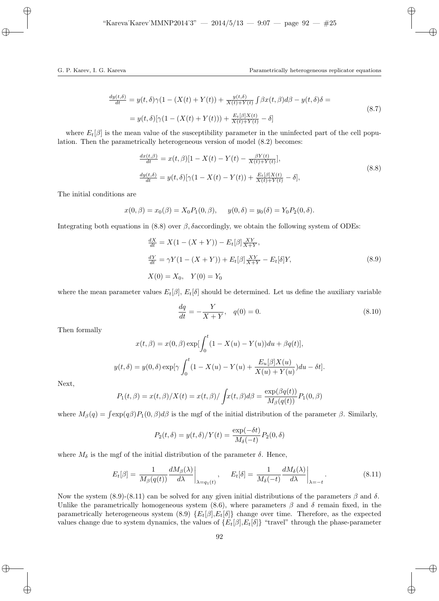$$
\frac{dy(t,\delta)}{dt} = y(t,\delta)\gamma(1 - (X(t) + Y(t)) + \frac{y(t,\delta)}{X(t) + Y(t)}) \int \beta x(t,\beta)d\beta - y(t,\delta)\delta =
$$
  
=  $y(t,\delta)[\gamma(1 - (X(t) + Y(t))) + \frac{E_t[\beta]X(t)}{X(t) + Y(t)} - \delta]$  (8.7)

where  $E_t[\beta]$  is the mean value of the susceptibility parameter in the uninfected part of the cell population. Then the parametrically heterogeneous version of model (8.2) becomes:

$$
\frac{dx(t,\beta)}{dt} = x(t,\beta)[1 - X(t) - Y(t) - \frac{\beta Y(t)}{X(t) + Y(t)}],
$$
\n
$$
\frac{dy(t,\delta)}{dt} = y(t,\delta)[\gamma(1 - X(t) - Y(t)) + \frac{E_t[\beta]X(t)}{X(t) + Y(t)} - \delta],
$$
\n(8.8)

The initial conditions are

$$
x(0, \beta) = x_0(\beta) = X_0 P_1(0, \beta), \quad y(0, \delta) = y_0(\delta) = Y_0 P_2(0, \delta).
$$

Integrating both equations in (8.8) over  $\beta$ , δaccordingly, we obtain the following system of ODEs:

$$
\frac{dX}{dt} = X(1 - (X + Y)) - E_t[\beta] \frac{XY}{X+Y},
$$
\n
$$
\frac{dY}{dt} = \gamma Y(1 - (X + Y)) + E_t[\beta] \frac{XY}{X+Y} - E_t[\delta]Y,
$$
\n
$$
X(0) = X_0, \quad Y(0) = Y_0
$$
\n(8.9)

where the mean parameter values  $E_t[\beta], E_t[\delta]$  should be determined. Let us define the auxiliary variable

$$
\frac{dq}{dt} = -\frac{Y}{X+Y}, \quad q(0) = 0.
$$
\n(8.10)

Then formally

$$
x(t, \beta) = x(0, \beta) \exp[\int_0^t (1 - X(u) - Y(u))du + \beta q(t)],
$$
  

$$
y(t, \delta) = y(0, \delta) \exp[\gamma \int_0^t (1 - X(u) - Y(u) + \frac{E_u[\beta]X(u)}{X(u) + Y(u)})du - \delta t].
$$

Next,

$$
P_1(t, \beta) = x(t, \beta)/X(t) = x(t, \beta)/\int x(t, \beta) d\beta = \frac{\exp(\beta q(t))}{M_\beta(q(t))} P_1(0, \beta)
$$

where  $M_{\beta}(q) = \int \exp(q\beta) P_1(0, \beta) d\beta$  is the mgf of the initial distribution of the parameter  $\beta$ . Similarly,

$$
P_2(t,\delta) = y(t,\delta)/Y(t) = \frac{\exp(-\delta t)}{M_\delta(-t)} P_2(0,\delta)
$$

where  $M_{\delta}$  is the mgf of the initial distribution of the parameter  $\delta$ . Hence,

$$
E_t[\beta] = \frac{1}{M_\beta(q(t))} \frac{dM_\beta(\lambda)}{d\lambda} \bigg|_{\lambda = q_1(t)}, \qquad E_t[\delta] = \frac{1}{M_\delta(-t)} \frac{dM_\delta(\lambda)}{d\lambda} \bigg|_{\lambda = -t}.
$$
\n
$$
(8.11)
$$

Now the system (8.9)-(8.11) can be solved for any given initial distributions of the parameters β and δ. Unlike the parametrically homogeneous system (8.6), where parameters  $\beta$  and  $\delta$  remain fixed, in the parametrically heterogeneous system  $(8.9) \{E_t[\beta], E_t[\delta]\}$  change over time. Therefore, as the expected values change due to system dynamics, the values of  $\{E_t[\beta], E_t[\delta]\}$  "travel" through the phase-parameter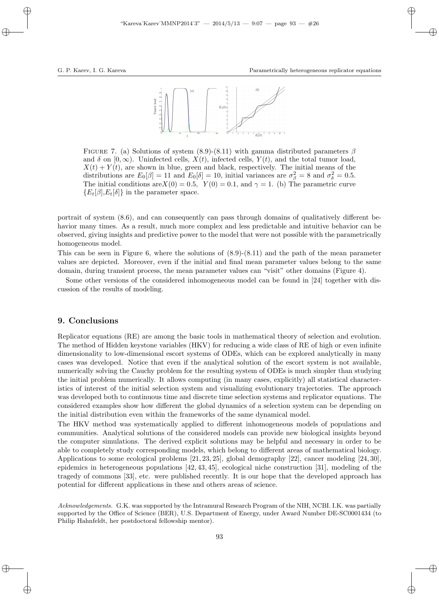

FIGURE 7. (a) Solutions of system (8.9)-(8.11) with gamma distributed parameters  $\beta$ and  $\delta$  on  $[0,\infty)$ . Uninfected cells,  $X(t)$ , infected cells,  $Y(t)$ , and the total tumor load,  $X(t) + Y(t)$ , are shown in blue, green and black, respectively. The initial means of the distributions are  $E_0[\beta] = 11$  and  $E_0[\delta] = 10$ , initial variances are  $\sigma_{\beta}^2 = 8$  and  $\sigma_{\delta}^2 = 0.5$ . The initial conditions are  $X(0) = 0.5$ ,  $Y(0) = 0.1$ , and  $\gamma = 1$ . (b) The parametric curve  ${E_t[\beta], E_t[\delta]}$  in the parameter space.

portrait of system (8.6), and can consequently can pass through domains of qualitatively different behavior many times. As a result, much more complex and less predictable and intuitive behavior can be observed, giving insights and predictive power to the model that were not possible with the parametrically homogeneous model.

This can be seen in Figure 6, where the solutions of (8.9)-(8.11) and the path of the mean parameter values are depicted. Moreover, even if the initial and final mean parameter values belong to the same domain, during transient process, the mean parameter values can "visit" other domains (Figure 4).

Some other versions of the considered inhomogeneous model can be found in [24] together with discussion of the results of modeling.

## 9. Conclusions

Replicator equations (RE) are among the basic tools in mathematical theory of selection and evolution. The method of Hidden keystone variables (HKV) for reducing a wide class of RE of high or even infinite dimensionality to low-dimensional escort systems of ODEs, which can be explored analytically in many cases was developed. Notice that even if the analytical solution of the escort system is not available, numerically solving the Cauchy problem for the resulting system of ODEs is much simpler than studying the initial problem numerically. It allows computing (in many cases, explicitly) all statistical characteristics of interest of the initial selection system and visualizing evolutionary trajectories. The approach was developed both to continuous time and discrete time selection systems and replicator equations. The considered examples show how different the global dynamics of a selection system can be depending on the initial distribution even within the frameworks of the same dynamical model.

The HKV method was systematically applied to different inhomogeneous models of populations and communities. Analytical solutions of the considered models can provide new biological insights beyond the computer simulations. The derived explicit solutions may be helpful and necessary in order to be able to completely study corresponding models, which belong to different areas of mathematical biology. Applications to some ecological problems [21, 23, 25], global demography [22], cancer modeling [24, 30], epidemics in heterogeneous populations [42, 43, 45], ecological niche construction [31], modeling of the tragedy of commons [33], etc. were published recently. It is our hope that the developed approach has potential for different applications in these and others areas of science.

Acknowledgements. G.K. was supported by the Intramural Research Program of the NIH, NCBI. I.K. was partially supported by the Office of Science (BER), U.S. Department of Energy, under Award Number DE-SC0001434 (to Philip Hahnfeldt, her postdoctoral fellowship mentor).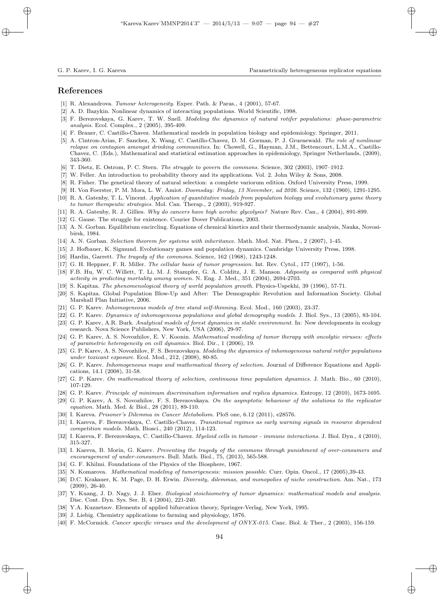# References

- [1] R. Alexandrova. Tumour heterogeneity. Exper. Path. & Paras., 4 (2001), 57-67.
- [2] A. D. Bazykin. Nonlinear dynamics of interacting populations. World Scientific, 1998.
- [3] F. Berezovskaya, G. Karev, T. W. Snell. Modeling the dynamics of natural rotifer populations: phase-parametric analysis. Ecol. Complex., 2 (2005), 395-409.
- [4] F. Brauer, C. Castillo-Chavez. Mathematical models in population biology and epidemiology. Springer, 2011.
- [5] A. Cintron-Arias, F. Sanchez, X. Wang, C. Castillo-Chavez, D. M. Gorman, P. J. Gruenewald. The role of nonlinear relapse on contagion amongst drinking communities. In: Chowell, G., Hayman, J.M., Bettencourt, L.M.A., Castillo-Chavez, C. (Eds.), Mathematical and statistical estimation approaches in epidemiology, Springer Netherlands, (2009), 343-360.
- [6] T. Dietz, E. Ostrom, P. C. Stern. The struggle to govern the commons. Science, 302 (2003), 1907-1912.
- [7] W. Feller. An introduction to probability theory and its applications. Vol. 2. John Wiley & Sons, 2008.
- [8] R. Fisher. The genetical theory of natural selection: a complete variorum edition. Oxford University Press, 1999.
- [9] H. Von Foerster, P. M. Mora, L. W. Amiot. Doomsday: Friday, 13 November, ad 2026. Science, 132 (1960), 1291-1295.
- [10] R. A. Gatenby, T. L. Vincent. Application of quantitative models from population biology and evolutionary game theory to tumor therapeutic strategies. Mol. Can. Therap., 2 (2003), 919-927.
- [11] R. A. Gatenby, R. J. Gillies. Why do cancers have high aerobic glycolysis? Nature Rev. Can., 4 (2004), 891-899.
- [12] G. Gause. The struggle for existence. Courier Dover Publications, 2003.
- [13] A. N. Gorban. Equilibrium encircling. Equations of chemical kinetics and their thermodynamic analysis, Nauka, Novosibirsk, 1984.
- [14] A. N. Gorban. Selection theorem for systems with inheritance. Math. Mod. Nat. Phen., 2 (2007), 1-45.
- [15] J. Hofbauer, K. Sigmund. Evolutionary games and population dynamics. Cambridge University Press, 1998.
- [16] Hardin, Garrett. The tragedy of the commons. Science, 162 (1968), 1243-1248.
- [17] G. H. Heppner, F. R. Miller. The cellular basis of tumor progression. Int. Rev. Cytol., 177 (1997), 1-56.
- [18] F.B. Hu, W. C. Willett, T. Li, M. J. Stampfer, G. A. Colditz, J. E. Manson. Adiposity as compared with physical activity in predicting mortality among women. N. Eng. J. Med., 351 (2004), 2694-2703.
- [19] S. Kapitza. The phenomenological theory of world population growth. Physics-Uspekhi, 39 (1996), 57-71.
- [20] S. Kapitza. Global Population Blow-Up and After: The Demographic Revolution and Information Society. Global Marshall Plan Initiative, 2006.
- [21] G. P. Karev. Inhomogeneous models of tree stand self-thinning. Ecol. Mod., 160 (2003), 23-37.
- [22] G. P. Karev. Dynamics of inhomogeneous populations and global demography models. J. Biol. Sys., 13 (2005), 83-104.
- [23] G. P. Karev, A.R. Burk. Analytical models of forest dynamics in stable environment. In: New developments in ecology research. Nova Science Publishers, New York, USA (2006), 29-97.
- [24] G. P. Karev, A. S. Novozhilov, E. V. Koonin. Mathematical modeling of tumor therapy with oncolytic viruses: effects of parametric heterogeneity on cell dynamics. Biol. Dir., 1 (2006), 19.
- [25] G. P. Karev, A. S. Novozhilov, F. S. Berezovskaya. Modeling the dynamics of inhomogeneous natural rotifer populations under toxicant exposure. Ecol. Mod., 212, (2008), 80-85.
- [26] G. P. Karev. Inhomogeneous maps and mathematical theory of selection. Journal of Difference Equations and Applications, 14.1 (2008), 31-58.
- [27] G. P. Karev. On mathematical theory of selection, continuous time population dynamics. J. Math. Bio., 60 (2010), 107-129.
- [28] G. P. Karev. Principle of minimum discrimination information and replica dynamics. Entropy, 12 (2010), 1673-1695.
- [29] G. P. Karev, A. S. Novozhilov, F. S. Berezovskaya. On the asymptotic behaviour of the solutions to the replicator equation. Math. Med. & Biol., 28 (2011), 89-110.
- [30] I. Kareva. Prisoner's Dilemma in Cancer Metabolism. PloS one, 6.12 (2011), e28576.
- [31] I. Kareva, F. Berezovskaya, C. Castillo-Chavez. Transitional regimes as early warning signals in resource dependent competition models. Math. Biosci., 240 (2012), 114-123.
- [32] I. Kareva, F. Berezovskaya, C. Castillo-Chavez. Myeloid cells in tumour immune interactions. J. Biol. Dyn., 4 (2010), 315-327.
- [33] I. Kareva, B. Morin, G. Karev. Preventing the tragedy of the commons through punishment of over-consumers and encouragement of under-consumers. Bull. Math. Biol., 75, (2013), 565-588.
- [34] G. F. Khilmi. Foundations of the Physics of the Biosphere, 1967.
- [35] N. Komarova. *Mathematical modeling of tumorigenesis: mission possible.* Curr. Opin. Oncol., 17 (2005),39-43.
- [36] D.C. Krakauer, K. M. Page, D. H. Erwin. Diversity, dilemmas, and monopolies of niche construction. Am. Nat., 173 (2009), 26-40.
- [37] Y. Kuang, J. D. Nagy, J. J. Elser. Biological stoichiometry of tumor dynamics: mathematical models and analysis. Disc. Cont. Dyn. Sys. Ser. B, 4 (2004), 221-240.
- [38] Y.A. Kuznetsov. Elements of applied bifurcation theory, Springer-Verlag, New York, 1995.
- [39] J. Liebig. Chemistry applications to farming and physiology, 1876.
- [40] F. McCormick. Cancer specific viruses and the development of ONYX-015. Canc. Biol. & Ther., 2 (2003), 156-159.